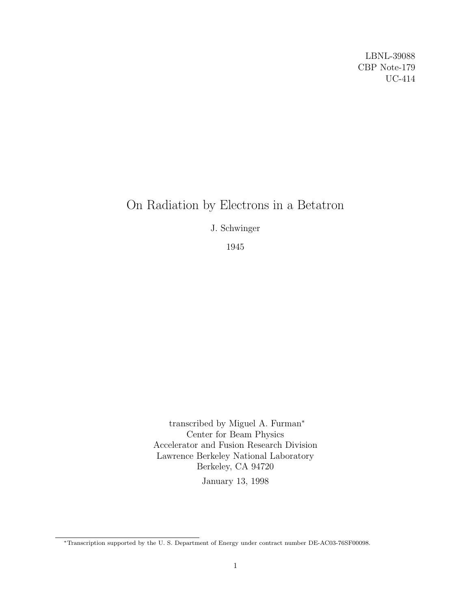LBNL-39088 CBP Note-179 UC-414

## On Radiation by Electrons in a Betatron

J. Schwinger

1945

transcribed by Miguel A. Furman<sup>∗</sup> Center for Beam Physics Accelerator and Fusion Research Division Lawrence Berkeley National Laboratory Berkeley, CA 94720

January 13, 1998

<sup>∗</sup>Transcription supported by the U. S. Department of Energy under contract number DE-AC03-76SF00098.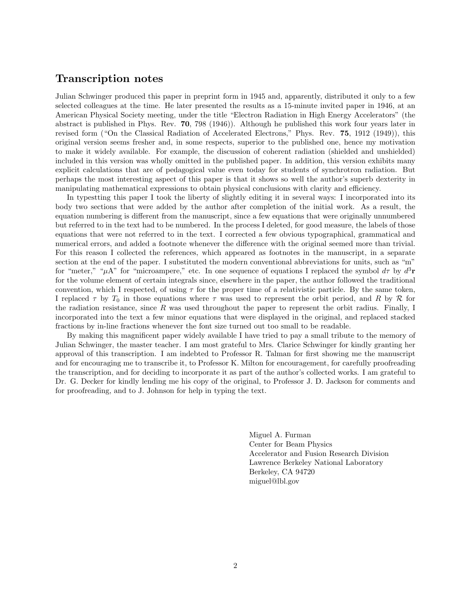## **Transcription notes**

Julian Schwinger produced this paper in preprint form in 1945 and, apparently, distributed it only to a few selected colleagues at the time. He later presented the results as a 15-minute invited paper in 1946, at an American Physical Society meeting, under the title "Electron Radiation in High Energy Accelerators" (the abstract is published in Phys. Rev. **70**, 798 (1946)). Although he published this work four years later in revised form ("On the Classical Radiation of Accelerated Electrons," Phys. Rev. **75**, 1912 (1949)), this original version seems fresher and, in some respects, superior to the published one, hence my motivation to make it widely available. For example, the discussion of coherent radiation (shielded and unshielded) included in this version was wholly omitted in the published paper. In addition, this version exhibits many explicit calculations that are of pedagogical value even today for students of synchrotron radiation. But perhaps the most interesting aspect of this paper is that it shows so well the author's superb dexterity in manipulating mathematical expressions to obtain physical conclusions with clarity and efficiency.

In typestting this paper I took the liberty of slightly editing it in several ways: I incorporated into its body two sections that were added by the author after completion of the initial work. As a result, the equation numbering is different from the manuscript, since a few equations that were originally unnumbered but referred to in the text had to be numbered. In the process I deleted, for good measure, the labels of those equations that were not referred to in the text. I corrected a few obvious typographical, grammatical and numerical errors, and added a footnote whenever the difference with the original seemed more than trivial. For this reason I collected the references, which appeared as footnotes in the manuscript, in a separate section at the end of the paper. I substituted the modern conventional abbreviations for units, such as "m" for "meter," " $\mu$ A" for "microampere," etc. In one sequence of equations I replaced the symbol  $d\tau$  by  $d^3r$ for the volume element of certain integrals since, elsewhere in the paper, the author followed the traditional convention, which I respected, of using  $\tau$  for the proper time of a relativistic particle. By the same token, I replaced  $\tau$  by  $T_0$  in those equations where  $\tau$  was used to represent the orbit period, and R by  $\mathcal R$  for the radiation resistance, since *R* was used throughout the paper to represent the orbit radius. Finally, I incorporated into the text a few minor equations that were displayed in the original, and replaced stacked fractions by in-line fractions whenever the font size turned out too small to be readable.

By making this magnificent paper widely available I have tried to pay a small tribute to the memory of Julian Schwinger, the master teacher. I am most grateful to Mrs. Clarice Schwinger for kindly granting her approval of this transcription. I am indebted to Professor R. Talman for first showing me the manuscript and for encouraging me to transcribe it, to Professor K. Milton for encouragement, for carefully proofreading the transcription, and for deciding to incorporate it as part of the author's collected works. I am grateful to Dr. G. Decker for kindly lending me his copy of the original, to Professor J. D. Jackson for comments and for proofreading, and to J. Johnson for help in typing the text.

> Miguel A. Furman Center for Beam Physics Accelerator and Fusion Research Division Lawrence Berkeley National Laboratory Berkeley, CA 94720 miguel@lbl.gov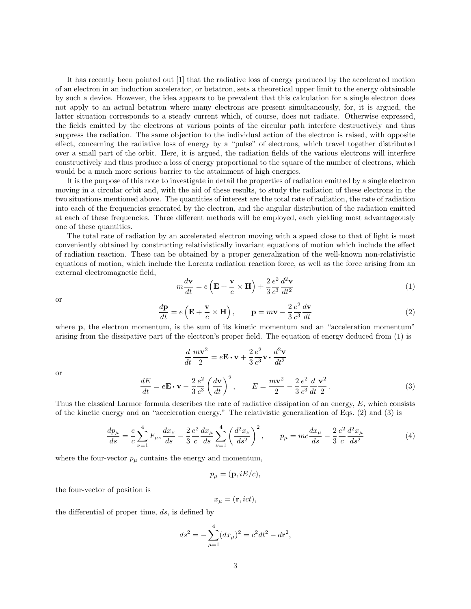It has recently been pointed out [1] that the radiative loss of energy produced by the accelerated motion of an electron in an induction accelerator, or betatron, sets a theoretical upper limit to the energy obtainable by such a device. However, the idea appears to be prevalent that this calculation for a single electron does not apply to an actual betatron where many electrons are present simultaneously, for, it is argued, the latter situation corresponds to a steady current which, of course, does not radiate. Otherwise expressed, the fields emitted by the electrons at various points of the circular path interfere destructively and thus suppress the radiation. The same objection to the individual action of the electron is raised, with opposite effect, concerning the radiative loss of energy by a "pulse" of electrons, which travel together distributed over a small part of the orbit. Here, it is argued, the radiation fields of the various electrons will interfere constructively and thus produce a loss of energy proportional to the square of the number of electrons, which would be a much more serious barrier to the attainment of high energies.

It is the purpose of this note to investigate in detail the properties of radiation emitted by a single electron moving in a circular orbit and, with the aid of these results, to study the radiation of these electrons in the two situations mentioned above. The quantities of interest are the total rate of radiation, the rate of radiation into each of the frequencies generated by the electron, and the angular distribution of the radiation emitted at each of these frequencies. Three different methods will be employed, each yielding most advantageously one of these quantities.

The total rate of radiation by an accelerated electron moving with a speed close to that of light is most conveniently obtained by constructing relativistically invariant equations of motion which include the effect of radiation reaction. These can be obtained by a proper generalization of the well-known non-relativistic equations of motion, which include the Lorentz radiation reaction force, as well as the force arising from an external electromagnetic field,

$$
m\frac{d\mathbf{v}}{dt} = e\left(\mathbf{E} + \frac{\mathbf{v}}{c} \times \mathbf{H}\right) + \frac{2}{3}\frac{e^2}{c^3}\frac{d^2\mathbf{v}}{dt^2}
$$
(1)

or

$$
\frac{d\mathbf{p}}{dt} = e\left(\mathbf{E} + \frac{\mathbf{v}}{c} \times \mathbf{H}\right), \qquad \mathbf{p} = m\mathbf{v} - \frac{2}{3}\frac{e^2}{c^3}\frac{d\mathbf{v}}{dt} \tag{2}
$$

where **p**, the electron momentum, is the sum of its kinetic momentum and an "acceleration momentum" arising from the dissipative part of the electron's proper field. The equation of energy deduced from (1) is

$$
\frac{d}{dt}\frac{m\mathbf{v}^2}{2} = e\mathbf{E}\cdot\mathbf{v} + \frac{2}{3}\frac{e^2}{c^3}\mathbf{v}\cdot\frac{d^2\mathbf{v}}{dt^2}
$$
\n
$$
\frac{dE}{dt} = e\mathbf{E}\cdot\mathbf{v} - \frac{2}{3}\frac{e^2}{c^3}\left(\frac{d\mathbf{v}}{dt}\right)^2, \qquad E = \frac{m\mathbf{v}^2}{2} - \frac{2}{3}\frac{e^2}{c^3}\frac{d\mathbf{v}^2}{dt^2}.
$$
\n(3)

or

Thus the classical Larmor formula describes the rate of radiative dissipation of an energy, 
$$
E
$$
, which consists of the kinetic energy and an "acceleration energy." The relativistic generalization of Eqs. (2) and (3) is

$$
\frac{dp_{\mu}}{ds} = \frac{e}{c} \sum_{\nu=1}^{4} F_{\mu\nu} \frac{dx_{\nu}}{ds} - \frac{2}{3} \frac{e^{2}}{c} \frac{dx_{\mu}}{ds} \sum_{\nu=1}^{4} \left(\frac{d^{2}x_{\nu}}{ds^{2}}\right)^{2}, \qquad p_{\mu} = mc \frac{dx_{\mu}}{ds} - \frac{2}{3} \frac{e^{2}}{c} \frac{d^{2}x_{\mu}}{ds^{2}} \tag{4}
$$

where the four-vector  $p_\mu$  contains the energy and momentum,

$$
p_{\mu} = (\mathbf{p}, iE/c),
$$

the four-vector of position is

$$
x_{\mu} = (\mathbf{r}, ict),
$$

the differential of proper time, *ds*, is defined by

$$
ds^{2} = -\sum_{\mu=1}^{4} (dx_{\mu})^{2} = c^{2}dt^{2} - d\mathbf{r}^{2},
$$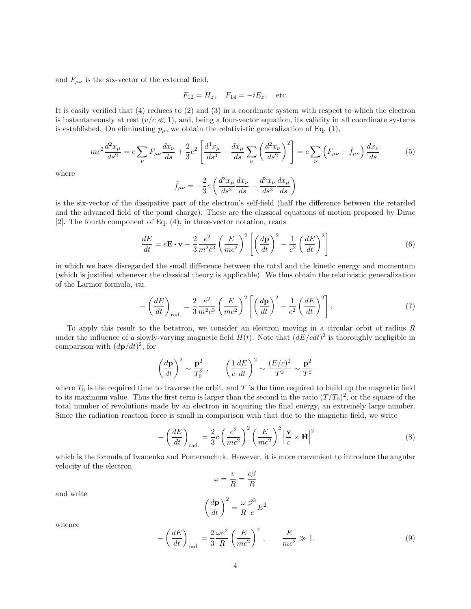and  $F_{\mu\nu}$  is the six-vector of the external field,

$$
F_{12} = H_z
$$
,  $F_{14} = -iE_x$ , etc.

It is easily verified that (4) reduces to (2) and (3) in a coordinate system with respect to which the electron is instantaneously at rest  $(v/c \ll 1)$ , and, being a four-vector equation, its validity in all coordinate systems is established. On eliminating  $p_{\mu}$ , we obtain the relativistic generalization of Eq. (1),

$$
mc^{2}\frac{d^{2}x_{\mu}}{ds^{2}} = e \sum_{\nu} F_{\mu\nu} \frac{dx_{\nu}}{ds} + \frac{2}{3} e^{2} \left[ \frac{d^{3}x_{\mu}}{ds^{3}} - \frac{dx_{\mu}}{ds} \sum_{\nu} \left( \frac{d^{2}x_{\nu}}{ds^{2}} \right)^{2} \right] = e \sum_{\nu} \left( F_{\mu\nu} + \tilde{f}_{\mu\nu} \right) \frac{dx_{\nu}}{ds}
$$
(5)

where

$$
\tilde{f}_{\mu\nu} = -\frac{2}{3}e \left( \frac{d^3x_\mu}{ds^3} \frac{dx_\nu}{ds} - \frac{d^3x_\nu}{ds^3} \frac{dx_\mu}{ds} \right)
$$

is the six-vector of the dissipative part of the electron's self-field (half the difference between the retarded and the advanced field of the point charge). These are the classical equations of motion proposed by Dirac [2]. The fourth component of Eq. (4), in three-vector notation, reads

$$
\frac{dE}{dt} = e\mathbf{E} \cdot \mathbf{v} - \frac{2}{3} \frac{e^2}{m^2 c^3} \left(\frac{E}{mc^2}\right)^2 \left[ \left(\frac{d\mathbf{p}}{dt}\right)^2 - \frac{1}{c^2} \left(\frac{dE}{dt}\right)^2 \right]
$$
(6)

in which we have disregarded the small difference between the total and the kinetic energy and momentum (which is justified whenever the classical theory is applicable). We thus obtain the relativistic generalization of the Larmor formula, viz.

$$
-\left(\frac{dE}{dt}\right)_{\text{rad.}} = \frac{2}{3}\frac{e^2}{m^2c^3} \left(\frac{E}{mc^2}\right)^2 \left[\left(\frac{d\mathbf{p}}{dt}\right)^2 - \frac{1}{c^2} \left(\frac{dE}{dt}\right)^2\right].\tag{7}
$$

To apply this result to the betatron, we consider an electron moving in a circular orbit of radius *R* under the influence of a slowly-varying magnetic field  $H(t)$ . Note that  $(dE/cdt)^2$  is thoroughly negligible in comparison with  $(d\mathbf{p}/dt)^2$ , for

$$
\left(\frac{d\mathbf{p}}{dt}\right)^2 \sim \frac{\mathbf{p}^2}{T_0^2}, \qquad \left(\frac{1}{c}\frac{dE}{dt}\right)^2 \sim \frac{(E/c)^2}{T^2} \sim \frac{\mathbf{p}^2}{T^2}
$$

where  $T_0$  is the required time to traverse the orbit, and  $T$  is the time required to build up the magnetic field to its maximum value. Thus the first term is larger than the second in the ratio  $(T/T_0)^2$ , or the square of the total number of revolutions made by an electron in acquiring the final energy, an extremely large number. Since the radiation reaction force is small in comparison with that due to the magnetic field, we write

$$
-\left(\frac{dE}{dt}\right)_{\text{rad.}} = \frac{2}{3}c\left(\frac{e^2}{mc^2}\right)^2 \left(\frac{E}{mc^2}\right)^2 \left|\frac{\mathbf{v}}{c} \times \mathbf{H}\right|^2 \tag{8}
$$

which is the formula of Iwanenko and Pomeranchuk. However, it is more convenient to introduce the angular velocity of the electron  $\omega = \frac{v}{R} = \frac{c\beta}{R}$ 

and write

$$
\left(\frac{d\mathbf{p}}{dt}\right)^2 = \frac{\omega}{R} \frac{\beta^3}{c} E^2
$$

whence

$$
-\left(\frac{dE}{dt}\right)_{\text{rad.}} = \frac{2}{3}\frac{\omega e^2}{R}\left(\frac{E}{mc^2}\right)^4, \qquad \frac{E}{mc^2} \gg 1. \tag{9}
$$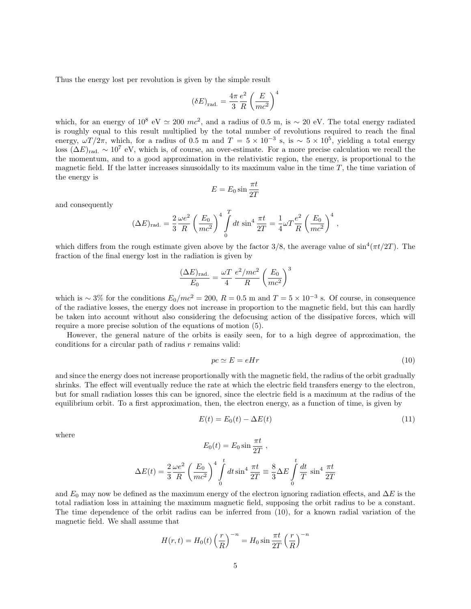Thus the energy lost per revolution is given by the simple result

$$
\left(\delta E\right)_\mathrm{rad.} = \frac{4\pi}{3}\frac{e^2}{R}\left(\frac{E}{mc^2}\right)^4
$$

which, for an energy of  $10^8$  eV  $\simeq 200$   $mc^2$ , and a radius of 0.5 m, is ~ 20 eV. The total energy radiated is roughly equal to this result multiplied by the total number of revolutions required to reach the final energy,  $\omega T/2\pi$ , which, for a radius of 0.5 m and  $T = 5 \times 10^{-3}$  s, is ~  $5 \times 10^{5}$ , yielding a total energy loss  $(\Delta E)_{\text{rad.}} \sim 10^7 \text{ eV}$ , which is, of course, an over-estimate. For a more precise calculation we recall the the momentum, and to a good approximation in the relativistic region, the energy, is proportional to the magnetic field. If the latter increases sinusoidally to its maximum value in the time *T*, the time variation of the energy is

$$
E = E_0 \sin \frac{\pi t}{2T}
$$

and consequently

$$
(\Delta E)_{\text{rad.}} = \frac{2}{3} \frac{\omega e^2}{R} \left(\frac{E_0}{mc^2}\right)^4 \int_0^T dt \, \sin^4 \frac{\pi t}{2T} = \frac{1}{4} \omega T \frac{e^2}{R} \left(\frac{E_0}{mc^2}\right)^4,
$$

which differs from the rough estimate given above by the factor  $3/8$ , the average value of  $\sin^4(\pi t/2T)$ . The fraction of the final energy lost in the radiation is given by

$$
\frac{(\Delta E)_{\text{rad.}}}{E_0} = \frac{\omega T}{4} \frac{e^2/mc^2}{R} \left(\frac{E_0}{mc^2}\right)^3
$$

which is ~ 3% for the conditions  $E_0/mc^2 = 200$ ,  $R = 0.5$  m and  $T = 5 \times 10^{-3}$  s. Of course, in consequence of the radiative losses, the energy does not increase in proportion to the magnetic field, but this can hardly be taken into account without also considering the defocusing action of the dissipative forces, which will require a more precise solution of the equations of motion (5).

However, the general nature of the orbits is easily seen, for to a high degree of approximation, the conditions for a circular path of radius *r* remains valid:

$$
pc \simeq E = eHr \tag{10}
$$

and since the energy does not increase proportionally with the magnetic field, the radius of the orbit gradually shrinks. The effect will eventually reduce the rate at which the electric field transfers energy to the electron, but for small radiation losses this can be ignored, since the electric field is a maximum at the radius of the equilibrium orbit. To a first approximation, then, the electron energy, as a function of time, is given by

$$
E(t) = E_0(t) - \Delta E(t) \tag{11}
$$

where

$$
E_0(t) = E_0 \sin \frac{\pi t}{2T},
$$
  

$$
\Delta E(t) = \frac{2}{3} \frac{\omega e^2}{R} \left(\frac{E_0}{mc^2}\right)^4 \int_0^t dt \sin^4 \frac{\pi t}{2T} \equiv \frac{8}{3} \Delta E \int_0^t \frac{dt}{T} \sin^4 \frac{\pi t}{2T}
$$

and  $E_0$  may now be defined as the maximum energy of the electron ignoring radiation effects, and  $\Delta E$  is the total radiation loss in attaining the maximum magnetic field, supposing the orbit radius to be a constant. The time dependence of the orbit radius can be inferred from (10), for a known radial variation of the magnetic field. We shall assume that

$$
H(r,t) = H_0(t) \left(\frac{r}{R}\right)^{-n} = H_0 \sin \frac{\pi t}{2T} \left(\frac{r}{R}\right)^{-n}
$$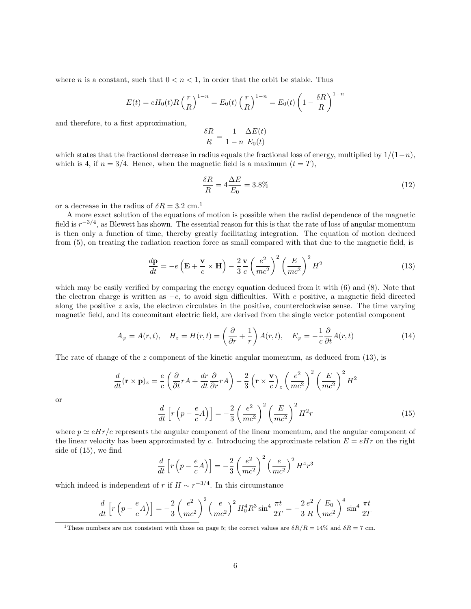where *n* is a constant, such that  $0 < n < 1$ , in order that the orbit be stable. Thus

$$
E(t) = eH_0(t)R\left(\frac{r}{R}\right)^{1-n} = E_0(t)\left(\frac{r}{R}\right)^{1-n} = E_0(t)\left(1 - \frac{\delta R}{R}\right)^{1-n}
$$

and therefore, to a first approximation,

$$
\frac{\delta R}{R} = \frac{1}{1 - n} \frac{\Delta E(t)}{E_0(t)}
$$

which states that the fractional decrease in radius equals the fractional loss of energy, multiplied by  $1/(1-n)$ , which is 4, if  $n = 3/4$ . Hence, when the magnetic field is a maximum  $(t = T)$ ,

$$
\frac{\delta R}{R} = 4\frac{\Delta E}{E_0} = 3.8\% \tag{12}
$$

or a decrease in the radius of  $\delta R = 3.2$  cm.<sup>1</sup>

A more exact solution of the equations of motion is possible when the radial dependence of the magnetic field is *r*−3*/*<sup>4</sup>, as Blewett has shown. The essential reason for this is that the rate of loss of angular momentum is then only a function of time, thereby greatly facilitating integration. The equation of motion deduced from (5), on treating the radiation reaction force as small compared with that due to the magnetic field, is

$$
\frac{d\mathbf{p}}{dt} = -e\left(\mathbf{E} + \frac{\mathbf{v}}{c} \times \mathbf{H}\right) - \frac{2}{3} \frac{\mathbf{v}}{c} \left(\frac{e^2}{mc^2}\right)^2 \left(\frac{E}{mc^2}\right)^2 H^2 \tag{13}
$$

which may be easily verified by comparing the energy equation deduced from it with (6) and (8). Note that the electron charge is written as −*e*, to avoid sign difficulties. With *e* positive, a magnetic field directed along the positive *z* axis, the electron circulates in the positive, counterclockwise sense. The time varying magnetic field, and its concomitant electric field, are derived from the single vector potential component

$$
A_{\varphi} = A(r, t), \quad H_z = H(r, t) = \left(\frac{\partial}{\partial r} + \frac{1}{r}\right) A(r, t), \quad E_{\varphi} = -\frac{1}{c} \frac{\partial}{\partial t} A(r, t)
$$
(14)

The rate of change of the *z* component of the kinetic angular momentum, as deduced from (13), is

$$
\frac{d}{dt}(\mathbf{r} \times \mathbf{p})_z = \frac{e}{c} \left( \frac{\partial}{\partial t} r A + \frac{dr}{dt} \frac{\partial}{\partial r} r A \right) - \frac{2}{3} \left( \mathbf{r} \times \frac{\mathbf{v}}{c} \right)_z \left( \frac{e^2}{mc^2} \right)^2 \left( \frac{E}{mc^2} \right)^2 H^2
$$

$$
\frac{d}{dt} \left[ r \left( p - \frac{e}{c} A \right) \right] = -\frac{2}{3} \left( \frac{e^2}{mc^2} \right)^2 \left( \frac{E}{mc^2} \right)^2 H^2 r \tag{15}
$$

or

where 
$$
p \simeq eHr/c
$$
 represents the angular component of the linear momentum, and the angular component of  
the linear velocity has been approximated by c. Introducing the approximate relation  $E = eHr$  on the right  
side of (15), we find

$$
\frac{d}{dt}\left[r\left(p-\frac{e}{c}A\right)\right] = -\frac{2}{3}\left(\frac{e^2}{mc^2}\right)^2 \left(\frac{e}{mc^2}\right)^2 H^4 r^3
$$

which indeed is independent of *r* if  $H \sim r^{-3/4}$ . In this circumstance

$$
\frac{d}{dt}\left[r\left(p - \frac{e}{c}A\right)\right] = -\frac{2}{3}\left(\frac{e^2}{mc^2}\right)^2 \left(\frac{e}{mc^2}\right)^2 H_0^4 R^3 \sin^4 \frac{\pi t}{2T} = -\frac{2}{3}\frac{e^2}{R}\left(\frac{E_0}{mc^2}\right)^4 \sin^4 \frac{\pi t}{2T}
$$

<sup>&</sup>lt;sup>1</sup>These numbers are not consistent with those on page 5; the correct values are  $\delta R/R = 14\%$  and  $\delta R = 7$  cm.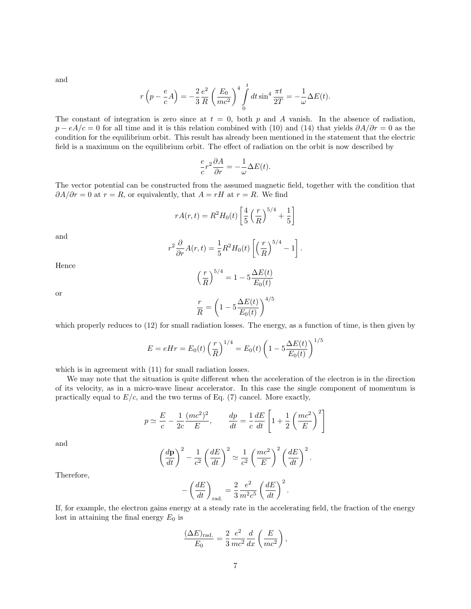and

$$
r\left(p - \frac{e}{c}A\right) = -\frac{2}{3}\frac{e^2}{R}\left(\frac{E_0}{mc^2}\right)^4 \int_0^t dt \sin^4 \frac{\pi t}{2T} = -\frac{1}{\omega}\Delta E(t).
$$

The constant of integration is zero since at  $t = 0$ , both p and A vanish. In the absence of radiation,  $p - eA/c = 0$  for all time and it is this relation combined with (10) and (14) that yields  $\partial A/\partial r = 0$  as the condition for the equilibrium orbit. This result has already been mentioned in the statement that the electric field is a maximum on the equilibrium orbit. The effect of radiation on the orbit is now described by

$$
\frac{e}{c}r^2\frac{\partial A}{\partial r} = -\frac{1}{\omega}\Delta E(t).
$$

The vector potential can be constructed from the assumed magnetic field, together with the condition that  $\partial A/\partial r = 0$  at  $r = R$ , or equivalently, that  $A = rH$  at  $r = R$ . We find

$$
rA(r,t) = R^{2}H_{0}(t)\left[\frac{4}{5}\left(\frac{r}{R}\right)^{5/4} + \frac{1}{5}\right]
$$

and

$$
r^{2} \frac{\partial}{\partial r} A(r,t) = \frac{1}{5} R^{2} H_{0}(t) \left[ \left( \frac{r}{R} \right)^{5/4} - 1 \right].
$$

Hence

$$
\left(\frac{r}{R}\right)^{5/4} = 1 - 5\frac{\Delta E(t)}{E_0(t)}
$$

or

$$
\frac{r}{R} = \left(1 - 5\frac{\Delta E(t)}{E_0(t)}\right)^{4/5}
$$

which properly reduces to (12) for small radiation losses. The energy, as a function of time, is then given by

$$
E = eHr = E_0(t) \left(\frac{r}{R}\right)^{1/4} = E_0(t) \left(1 - 5\frac{\Delta E(t)}{E_0(t)}\right)^{1/5}
$$

which is in agreement with  $(11)$  for small radiation losses.

We may note that the situation is quite different when the acceleration of the electron is in the direction of its velocity, as in a micro-wave linear accelerator. In this case the single component of momentum is practically equal to  $E/c$ , and the two terms of Eq. (7) cancel. More exactly,

$$
p \simeq \frac{E}{c} - \frac{1}{2c} \frac{(mc^2)^2}{E}, \qquad \frac{dp}{dt} = \frac{1}{c} \frac{dE}{dt} \left[ 1 + \frac{1}{2} \left( \frac{mc^2}{E} \right)^2 \right]
$$

and

$$
\left(\frac{d\mathbf{p}}{dt}\right)^2 - \frac{1}{c^2} \left(\frac{dE}{dt}\right)^2 \simeq \frac{1}{c^2} \left(\frac{mc^2}{E}\right)^2 \left(\frac{dE}{dt}\right)^2.
$$

Therefore,

$$
-\left(\frac{dE}{dt}\right)_{\text{rad.}} = \frac{2}{3}\frac{e^2}{m^2c^5}\left(\frac{dE}{dt}\right)^2.
$$

If, for example, the electron gains energy at a steady rate in the accelerating field, the fraction of the energy lost in attaining the final energy  $E_0$  is

$$
\frac{(\Delta E)_{\text{rad.}}}{E_0} = \frac{2}{3} \frac{e^2}{mc^2} \frac{d}{dx} \left(\frac{E}{mc^2}\right),\,
$$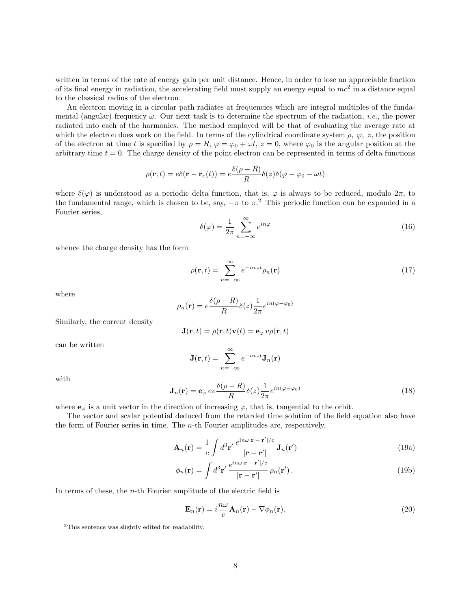written in terms of the rate of energy gain per unit distance. Hence, in order to lose an appreciable fraction of its final energy in radiation, the accelerating field must supply an energy equal to *mc*<sup>2</sup> in a distance equal to the classical radius of the electron.

An electron moving in a circular path radiates at frequencies which are integral multiples of the fundamental (angular) frequency  $\omega$ . Our next task is to determine the spectrum of the radiation, *i.e.*, the power radiated into each of the harmonics. The method employed will be that of evaluating the average rate at which the electron does work on the field. In terms of the cylindrical coordinate system  $\rho$ ,  $\varphi$ ,  $z$ , the position of the electron at time *t* is specified by  $\rho = R$ ,  $\varphi = \varphi_0 + \omega t$ ,  $z = 0$ , where  $\varphi_0$  is the angular position at the arbitrary time  $t = 0$ . The charge density of the point electron can be represented in terms of delta functions

$$
\rho(\mathbf{r},t) = e\delta(\mathbf{r} - \mathbf{r}_e(t)) = e\frac{\delta(\rho - R)}{R}\delta(z)\delta(\varphi - \varphi_0 - \omega t)
$$

where  $\delta(\varphi)$  is understood as a periodic delta function, that is,  $\varphi$  is always to be reduced, modulo  $2\pi$ , to the fundamental range, which is chosen to be, say,  $-\pi$  to  $\pi$ <sup>2</sup>. This periodic function can be expanded in a Fourier series,

$$
\delta(\varphi) = \frac{1}{2\pi} \sum_{n = -\infty}^{\infty} e^{in\varphi} \tag{16}
$$

whence the charge density has the form

$$
\rho(\mathbf{r},t) = \sum_{n=-\infty}^{\infty} e^{-in\omega t} \rho_n(\mathbf{r})
$$
\n(17)

where

$$
\rho_n(\mathbf{r}) = e^{\frac{\delta(\rho - R)}{R}} \delta(z) \frac{1}{2\pi} e^{in(\varphi - \varphi_0)}
$$

Similarly, the current density

$$
\mathbf{J}(\mathbf{r},t) = \rho(\mathbf{r},t)\mathbf{v}(t) = \mathbf{e}_{\varphi} v\rho(\mathbf{r},t)
$$

can be written

$$
\mathbf{J}(\mathbf{r},t)=\sum_{n=-\infty}^{\infty}e^{-in\omega t}\mathbf{J}_n(\mathbf{r})
$$

with

$$
\mathbf{J}_n(\mathbf{r}) = \mathbf{e}_{\varphi} \, ev \frac{\delta(\rho - R)}{R} \delta(z) \frac{1}{2\pi} e^{in(\varphi - \varphi_0)} \tag{18}
$$

where  $\mathbf{e}_{\varphi}$  is a unit vector in the direction of increasing  $\varphi$ , that is, tangential to the orbit.

The vector and scalar potential deduced from the retarded time solution of the field equation also have the form of Fourier series in time. The *n*-th Fourier amplitudes are, respectively,

$$
\mathbf{A}_n(\mathbf{r}) = \frac{1}{c} \int d^3 \mathbf{r}' \, \frac{e^{in\omega |\mathbf{r} - \mathbf{r}'|/c}}{|\mathbf{r} - \mathbf{r}'|} \, \mathbf{J}_n(\mathbf{r}')
$$
(19a)

$$
\phi_n(\mathbf{r}) = \int d^3 \mathbf{r}' \, \frac{e^{in\omega |\mathbf{r} - \mathbf{r}'|/c}}{|\mathbf{r} - \mathbf{r}'|} \, \rho_n(\mathbf{r}'). \tag{19b}
$$

In terms of these, the *n*-th Fourier amplitude of the electric field is

$$
\mathbf{E}_n(\mathbf{r}) = i \frac{n\omega}{c} \mathbf{A}_n(\mathbf{r}) - \nabla \phi_n(\mathbf{r}).
$$
\n(20)

<sup>2</sup>This sentence was slightly edited for readability.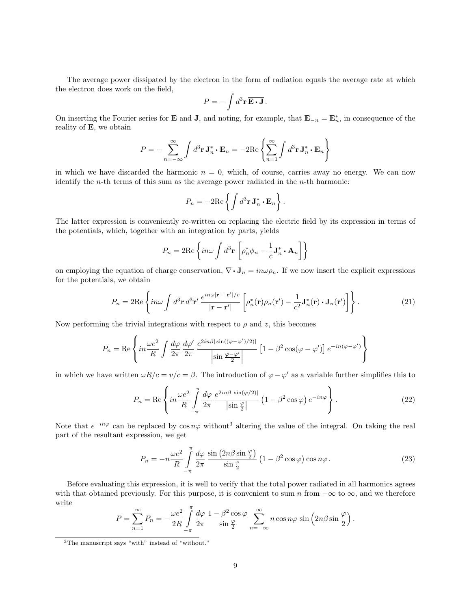The average power dissipated by the electron in the form of radiation equals the average rate at which the electron does work on the field,

$$
P = -\int d^3 \mathbf{r} \, \overline{\mathbf{E} \cdot \mathbf{J}} \, .
$$

On inserting the Fourier series for **E** and **J**, and noting, for example, that  $\mathbf{E}_{-n} = \mathbf{E}_n^*$ , in consequence of the reality of **E**, we obtain

$$
P = -\sum_{n=-\infty}^{\infty} \int d^3 \mathbf{r} \, \mathbf{J}_n^* \cdot \mathbf{E}_n = -2\text{Re}\left\{ \sum_{n=1}^{\infty} \int d^3 \mathbf{r} \, \mathbf{J}_n^* \cdot \mathbf{E}_n \right\}
$$

in which we have discarded the harmonic  $n = 0$ , which, of course, carries away no energy. We can now identify the *n*-th terms of this sum as the average power radiated in the *n*-th harmonic:

$$
P_n = -2\mathrm{Re}\left\{\int d^3\mathbf{r}\,\mathbf{J}_n^*\cdot\mathbf{E}_n\right\}.
$$

The latter expression is conveniently re-written on replacing the electric field by its expression in terms of the potentials, which, together with an integration by parts, yields

$$
P_n = 2\text{Re}\left\{in\omega \int d^3 \mathbf{r} \left[\rho_n^* \phi_n - \frac{1}{c} \mathbf{J}_n^* \cdot \mathbf{A}_n\right]\right\}
$$

on employing the equation of charge conservation,  $\nabla \cdot \mathbf{J}_n = in \omega \rho_n$ . If we now insert the explicit expressions for the potentials, we obtain

$$
P_n = 2\text{Re}\left\{in\omega \int d^3\mathbf{r} d^3\mathbf{r}' \frac{e^{in\omega|\mathbf{r}-\mathbf{r}'|/c}}{|\mathbf{r}-\mathbf{r}'|}\left[\rho_n^*(\mathbf{r})\rho_n(\mathbf{r}') - \frac{1}{c^2}\mathbf{J}_n^*(\mathbf{r})\cdot\mathbf{J}_n(\mathbf{r}')\right]\right\}.
$$
 (21)

Now performing the trivial integrations with respect to  $\rho$  and  $z$ , this becomes

$$
P_n = \text{Re}\left\{in\frac{\omega e^2}{R} \int \frac{d\varphi}{2\pi} \frac{d\varphi'}{2\pi} \frac{e^{2in\beta|\sin((\varphi - \varphi')/2)|}}{|\sin\frac{\varphi - \varphi'}{2}|} \left[1 - \beta^2 \cos(\varphi - \varphi')\right] e^{-in(\varphi - \varphi')} \right\}
$$

in which we have written  $\omega R/c = v/c = \beta$ . The introduction of  $\varphi - \varphi'$  as a variable further simplifies this to

$$
P_n = \text{Re}\left\{in\frac{\omega e^2}{R} \int\limits_{-\pi}^{\pi} \frac{d\varphi}{2\pi} \frac{e^{2in\beta|\sin(\varphi/2)|}}{|\sin\frac{\varphi}{2}|} \left(1 - \beta^2 \cos\varphi\right) e^{-in\varphi}\right\}.
$$
 (22)

Note that  $e^{-in\varphi}$  can be replaced by  $cos n\varphi$  without<sup>3</sup> altering the value of the integral. On taking the real part of the resultant expression, we get

$$
P_n = -n\frac{\omega e^2}{R} \int_{-\pi}^{\pi} \frac{d\varphi}{2\pi} \frac{\sin\left(2n\beta\sin\frac{\varphi}{2}\right)}{\sin\frac{\varphi}{2}} \left(1 - \beta^2\cos\varphi\right)\cos n\varphi. \tag{23}
$$

Before evaluating this expression, it is well to verify that the total power radiated in all harmonics agrees with that obtained previously. For this purpose, it is convenient to sum *n* from  $-\infty$  to  $\infty$ , and we therefore write

$$
P = \sum_{n=1}^{\infty} P_n = -\frac{\omega e^2}{2R} \int_{-\pi}^{\pi} \frac{d\varphi}{2\pi} \frac{1 - \beta^2 \cos \varphi}{\sin \frac{\varphi}{2}} \sum_{n=-\infty}^{\infty} n \cos n\varphi \sin \left(2n\beta \sin \frac{\varphi}{2}\right).
$$

<sup>&</sup>lt;sup>3</sup>The manuscript says "with" instead of "without."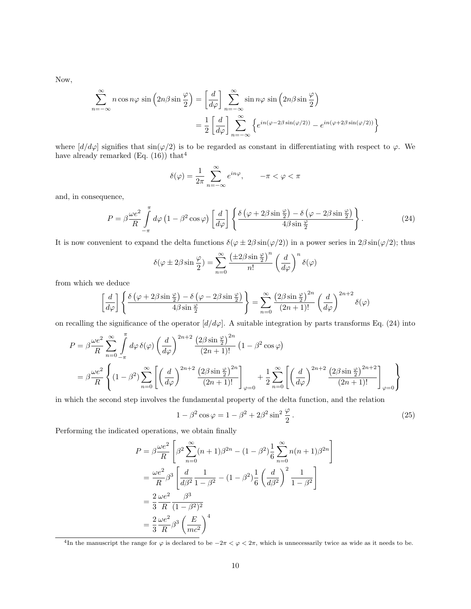Now,

$$
\sum_{n=-\infty}^{\infty} n \cos n\varphi \sin \left(2n\beta \sin \frac{\varphi}{2}\right) = \left[\frac{d}{d\varphi}\right] \sum_{n=-\infty}^{\infty} \sin n\varphi \sin \left(2n\beta \sin \frac{\varphi}{2}\right)
$$

$$
= \frac{1}{2} \left[\frac{d}{d\varphi}\right] \sum_{n=-\infty}^{\infty} \left\{e^{in(\varphi - 2\beta \sin(\varphi/2))} - e^{in(\varphi + 2\beta \sin(\varphi/2))}\right\}
$$

where  $\left[\frac{d}{d\varphi}\right]$  signifies that  $\sin(\varphi/2)$  is to be regarded as constant in differentiating with respect to  $\varphi$ . We have already remarked (Eq.  $(16)$ ) that<sup>4</sup>

$$
\delta(\varphi) = \frac{1}{2\pi} \sum_{n=-\infty}^{\infty} e^{in\varphi}, \qquad -\pi < \varphi < \pi
$$

and, in consequence,

$$
P = \beta \frac{\omega e^2}{R} \int_{-\pi}^{\pi} d\varphi \left(1 - \beta^2 \cos \varphi\right) \left[\frac{d}{d\varphi}\right] \left\{ \frac{\delta \left(\varphi + 2\beta \sin \frac{\varphi}{2}\right) - \delta \left(\varphi - 2\beta \sin \frac{\varphi}{2}\right)}{4\beta \sin \frac{\varphi}{2}} \right\}.
$$
 (24)

It is now convenient to expand the delta functions  $\delta(\varphi \pm 2\beta \sin(\varphi/2))$  in a power series in  $2\beta \sin(\varphi/2)$ ; thus

$$
\delta(\varphi \pm 2\beta \sin \frac{\varphi}{2}) = \sum_{n=0}^{\infty} \frac{\left(\pm 2\beta \sin \frac{\varphi}{2}\right)^n}{n!} \left(\frac{d}{d\varphi}\right)^n \delta(\varphi)
$$

from which we deduce

$$
\left[\frac{d}{d\varphi}\right] \left\{ \frac{\delta\left(\varphi + 2\beta\sin\frac{\varphi}{2}\right) - \delta\left(\varphi - 2\beta\sin\frac{\varphi}{2}\right)}{4\beta\sin\frac{\varphi}{2}} \right\} = \sum_{n=0}^{\infty} \frac{\left(2\beta\sin\frac{\varphi}{2}\right)^{2n}}{\left(2n+1\right)!} \left(\frac{d}{d\varphi}\right)^{2n+2} \delta(\varphi)
$$

on recalling the significance of the operator  $\left[\frac{d}{d\varphi}\right]$ . A suitable integration by parts transforms Eq. (24) into

$$
P = \beta \frac{\omega e^2}{R} \sum_{n=0}^{\infty} \int_{-\pi}^{\pi} d\varphi \, \delta(\varphi) \left(\frac{d}{d\varphi}\right)^{2n+2} \frac{\left(2\beta \sin \frac{\varphi}{2}\right)^{2n}}{(2n+1)!} \left(1 - \beta^2 \cos \varphi\right)
$$
  
= 
$$
\beta \frac{\omega e^2}{R} \left\{ (1 - \beta^2) \sum_{n=0}^{\infty} \left[ \left(\frac{d}{d\varphi}\right)^{2n+2} \frac{\left(2\beta \sin \frac{\varphi}{2}\right)^{2n}}{(2n+1)!} \right]_{\varphi=0} + \frac{1}{2} \sum_{n=0}^{\infty} \left[ \left(\frac{d}{d\varphi}\right)^{2n+2} \frac{\left(2\beta \sin \frac{\varphi}{2}\right)^{2n+2}}{(2n+1)!} \right]_{\varphi=0} \right\}
$$

in which the second step involves the fundamental property of the delta function, and the relation

$$
1 - \beta^2 \cos \varphi = 1 - \beta^2 + 2\beta^2 \sin^2 \frac{\varphi}{2}.
$$
 (25)

Performing the indicated operations, we obtain finally

$$
P = \beta \frac{\omega e^2}{R} \left[ \beta^2 \sum_{n=0}^{\infty} (n+1) \beta^{2n} - (1-\beta^2) \frac{1}{6} \sum_{n=0}^{\infty} n(n+1) \beta^{2n} \right]
$$
  
=  $\frac{\omega e^2}{R} \beta^3 \left[ \frac{d}{d\beta^2} \frac{1}{1-\beta^2} - (1-\beta^2) \frac{1}{6} \left( \frac{d}{d\beta^2} \right)^2 \frac{1}{1-\beta^2} \right]$   
=  $\frac{2}{3} \frac{\omega e^2}{R} \frac{\beta^3}{(1-\beta^2)^2}$   
=  $\frac{2}{3} \frac{\omega e^2}{R} \beta^3 \left( \frac{E}{mc^2} \right)^4$ 

<sup>4</sup>In the manuscript the range for  $\varphi$  is declared to be  $-2\pi < \varphi < 2\pi$ , which is unnecessarily twice as wide as it needs to be.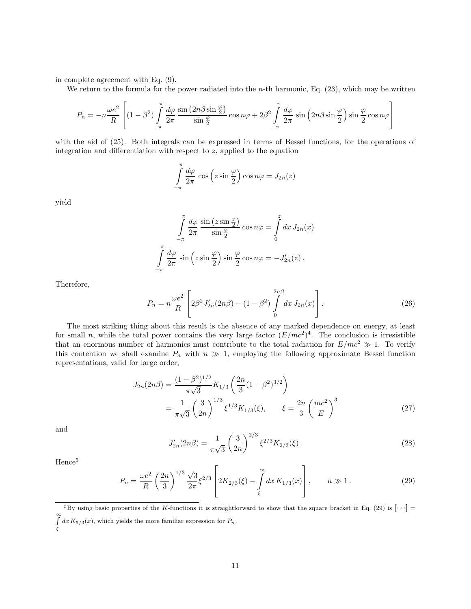in complete agreement with Eq. (9).

We return to the formula for the power radiated into the *n*-th harmonic, Eq. (23), which may be written

$$
P_n = -n\frac{\omega e^2}{R} \left[ (1 - \beta^2) \int_{-\pi}^{\pi} \frac{d\varphi}{2\pi} \frac{\sin(2n\beta \sin \frac{\varphi}{2})}{\sin \frac{\varphi}{2}} \cos n\varphi + 2\beta^2 \int_{-\pi}^{\pi} \frac{d\varphi}{2\pi} \sin(2n\beta \sin \frac{\varphi}{2}) \sin \frac{\varphi}{2} \cos n\varphi \right]
$$

with the aid of (25). Both integrals can be expressed in terms of Bessel functions, for the operations of integration and differentiation with respect to *z*, applied to the equation

$$
\int_{-\pi}^{\pi} \frac{d\varphi}{2\pi} \cos\left(z \sin\frac{\varphi}{2}\right) \cos n\varphi = J_{2n}(z)
$$

yield

$$
\int_{-\pi}^{\pi} \frac{d\varphi}{2\pi} \frac{\sin\left(z \sin\frac{\varphi}{2}\right)}{\sin\frac{\varphi}{2}} \cos n\varphi = \int_{0}^{z} dx J_{2n}(x)
$$

$$
\int_{-\pi}^{\pi} \frac{d\varphi}{2\pi} \sin\left(z \sin\frac{\varphi}{2}\right) \sin\frac{\varphi}{2} \cos n\varphi = -J'_{2n}(z).
$$

Therefore,

$$
P_n = n \frac{\omega e^2}{R} \left[ 2\beta^2 J'_{2n}(2n\beta) - (1 - \beta^2) \int_0^{2n\beta} dx J_{2n}(x) \right].
$$
 (26)

The most striking thing about this result is the absence of any marked dependence on energy, at least for small *n*, while the total power contains the very large factor  $(E/mc^2)^4$ . The conclusion is irresistible that an enormous number of harmonics must contribute to the total radiation for  $E/mc^2 \gg 1$ . To verify this contention we shall examine  $P_n$  with  $n \gg 1$ , employing the following approximate Bessel function representations, valid for large order,

$$
J_{2n}(2n\beta) = \frac{(1-\beta^2)^{1/2}}{\pi\sqrt{3}} K_{1/3} \left(\frac{2n}{3}(1-\beta^2)^{3/2}\right)
$$
  
=  $\frac{1}{\pi\sqrt{3}} \left(\frac{3}{2n}\right)^{1/3} \xi^{1/3} K_{1/3}(\xi), \qquad \xi = \frac{2n}{3} \left(\frac{mc^2}{E}\right)^3$  (27)

and

$$
J'_{2n}(2n\beta) = \frac{1}{\pi\sqrt{3}} \left(\frac{3}{2n}\right)^{2/3} \xi^{2/3} K_{2/3}(\xi).
$$
 (28)

Hence<sup>5</sup>

$$
P_n = \frac{\omega e^2}{R} \left(\frac{2n}{3}\right)^{1/3} \frac{\sqrt{3}}{2\pi} \xi^{2/3} \left[2K_{2/3}(\xi) - \int\limits_{\xi}^{\infty} dx \, K_{1/3}(x)\right], \qquad n \gg 1. \tag{29}
$$

<sup>&</sup>lt;sup>5</sup>By using basic properties of the *K*-functions it is straightforward to show that the square bracket in Eq. (29) is  $[\cdots]$  =  $\int$  $\int dx K_{5/3}(x)$ , which yields the more familiar expression for  $P_n$ .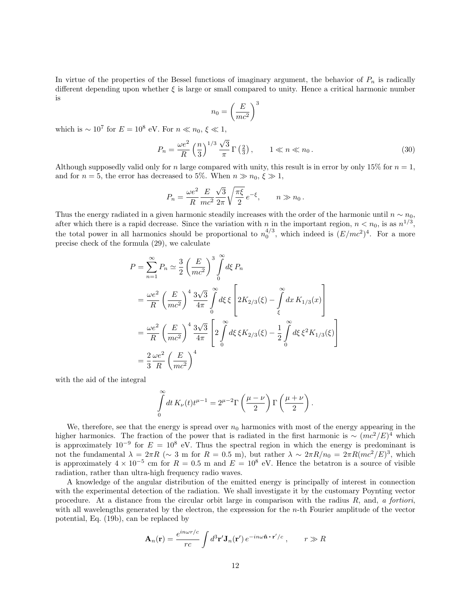In virtue of the properties of the Bessel functions of imaginary argument, the behavior of *P<sup>n</sup>* is radically different depending upon whether *ξ* is large or small compared to unity. Hence a critical harmonic number is

$$
n_0 = \left(\frac{E}{mc^2}\right)^3
$$

which is  $\sim 10^7$  for  $E = 10^8$  eV. For  $n \ll n_0, \xi \ll 1$ ,

$$
P_n = \frac{\omega e^2}{R} \left(\frac{n}{3}\right)^{1/3} \frac{\sqrt{3}}{\pi} \Gamma\left(\frac{2}{3}\right), \qquad 1 \ll n \ll n_0. \tag{30}
$$

Although supposedly valid only for *n* large compared with unity, this result is in error by only 15% for  $n = 1$ , and for  $n = 5$ , the error has decreased to 5%. When  $n \gg n_0$ ,  $\xi \gg 1$ ,

$$
P_n = \frac{\omega e^2}{R} \frac{E}{mc^2} \frac{\sqrt{3}}{2\pi} \sqrt{\frac{\pi \xi}{2}} e^{-\xi}, \qquad n \gg n_0.
$$

Thus the energy radiated in a given harmonic steadily increases with the order of the harmonic until  $n \sim n_0$ , after which there is a rapid decrease. Since the variation with *n* in the important region,  $n < n_0$ , is as  $n^{1/3}$ , the total power in all harmonics should be proportional to  $n_0^{4/3}$ , which indeed is  $(E/mc^2)^4$ . For a more precise check of the formula (29), we calculate

$$
P = \sum_{n=1}^{\infty} P_n \simeq \frac{3}{2} \left(\frac{E}{mc^2}\right)^3 \int_0^{\infty} d\xi P_n
$$
  
=  $\frac{\omega e^2}{R} \left(\frac{E}{mc^2}\right)^4 \frac{3\sqrt{3}}{4\pi} \int_0^{\infty} d\xi \xi \left[2K_{2/3}(\xi) - \int_{\xi}^{\infty} dx K_{1/3}(x)\right]$   
=  $\frac{\omega e^2}{R} \left(\frac{E}{mc^2}\right)^4 \frac{3\sqrt{3}}{4\pi} \left[2 \int_0^{\infty} d\xi \xi K_{2/3}(\xi) - \frac{1}{2} \int_0^{\infty} d\xi \xi^2 K_{1/3}(\xi)\right]$   
=  $\frac{2}{3} \frac{\omega e^2}{R} \left(\frac{E}{mc^2}\right)^4$ 

with the aid of the integral

$$
\int_{0}^{\infty} dt K_{\nu}(t) t^{\mu-1} = 2^{\mu-2} \Gamma\left(\frac{\mu-\nu}{2}\right) \Gamma\left(\frac{\mu+\nu}{2}\right).
$$

We, therefore, see that the energy is spread over  $n_0$  harmonics with most of the energy appearing in the higher harmonics. The fraction of the power that is radiated in the first harmonic is ~  $(mc^2/E)^{\frac{1}{4}}$  which is approximately  $10^{-9}$  for  $E = 10^8$  eV. Thus the spectral region in which the energy is predominant is not the fundamental  $\lambda = 2\pi R$  (~ 3 m for  $R = 0.5$  m), but rather  $\lambda \sim 2\pi R/n_0 = 2\pi R(mc^2/E)^3$ , which is approximately  $4 \times 10^{-5}$  cm for  $R = 0.5$  m and  $E = 10^8$  eV. Hence the betatron is a source of visible radiation, rather than ultra-high frequency radio waves.

A knowledge of the angular distribution of the emitted energy is principally of interest in connection with the experimental detection of the radiation. We shall investigate it by the customary Poynting vector procedure. At a distance from the circular orbit large in comparison with the radius *R*, and, a fortiori, with all wavelengths generated by the electron, the expression for the *n*-th Fourier amplitude of the vector potential, Eq. (19b), can be replaced by

$$
\mathbf{A}_n(\mathbf{r}) = \frac{e^{in\omega r/c}}{rc} \int d^3 \mathbf{r'} \mathbf{J}_n(\mathbf{r'}) e^{-in\omega \hat{\mathbf{n}} \cdot \mathbf{r'}/c} , \qquad r \gg R
$$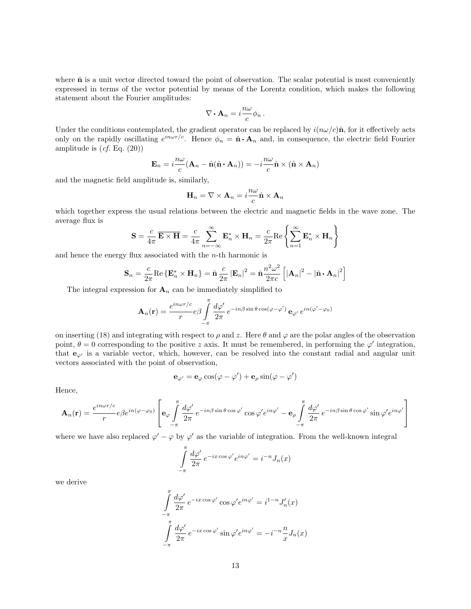where  $\hat{\mathbf{n}}$  is a unit vector directed toward the point of observation. The scalar potential is most conveniently expressed in terms of the vector potential by means of the Lorentz condition, which makes the following statement about the Fourier amplitudes:

$$
\nabla \cdot \mathbf{A}_n = i \frac{n\omega}{c} \phi_n \,.
$$

Under the conditions contemplated, the gradient operator can be replaced by  $i(n\omega/c)\hat{\bf n}$ , for it effectively acts only on the rapidly oscillating  $e^{in\omega r/c}$ . Hence  $\phi_n = \hat{\mathbf{n}} \cdot \mathbf{A}_n$  and, in consequence, the electric field Fourier amplitude is  $(cf. Eq. (20))$ 

$$
\mathbf{E}_n = i\frac{n\omega}{c}(\mathbf{A}_n - \hat{\mathbf{n}}(\hat{\mathbf{n}} \cdot \mathbf{A}_n)) = -i\frac{n\omega}{c}\hat{\mathbf{n}} \times (\hat{\mathbf{n}} \times \mathbf{A}_n)
$$

and the magnetic field amplitude is, similarly,

$$
\mathbf{H}_n = \nabla \times \mathbf{A}_n = i \frac{n\omega}{c} \hat{\mathbf{n}} \times \mathbf{A}_n
$$

which together express the usual relations between the electric and magnetic fields in the wave zone. The average flux is

$$
\mathbf{S} = \frac{c}{4\pi} \overline{\mathbf{E} \times \mathbf{H}} = \frac{c}{4\pi} \sum_{n=-\infty}^{\infty} \mathbf{E}_n^* \times \mathbf{H}_n = \frac{c}{2\pi} \text{Re} \left\{ \sum_{n=1}^{\infty} \mathbf{E}_n^* \times \mathbf{H}_n \right\}
$$

and hence the energy flux associated with the *n*-th harmonic is

$$
\mathbf{S}_n = \frac{c}{2\pi} \text{Re} \left\{ \mathbf{E}_n^* \times \mathbf{H}_n \right\} = \hat{\mathbf{n}} \frac{c}{2\pi} \left| \mathbf{E}_n \right|^2 = \hat{\mathbf{n}} \frac{n^2 \omega^2}{2\pi c} \left[ \left| \mathbf{A}_n \right|^2 - \left| \hat{\mathbf{n}} \cdot \mathbf{A}_n \right|^2 \right]
$$

The integral expression for  $\mathbf{A}_n$  can be immediately simplified to

$$
\mathbf{A}_n(\mathbf{r}) = \frac{e^{in\omega r/c}}{r} e\beta \int_{-\pi}^{\pi} \frac{d\varphi'}{2\pi} e^{-in\beta \sin \theta \cos(\varphi - \varphi')} \mathbf{e}_{\varphi'} e^{in(\varphi' - \varphi_0)}
$$

on inserting (18) and integrating with respect to  $\rho$  and z. Here  $\theta$  and  $\varphi$  are the polar angles of the observation point,  $\theta = 0$  corresponding to the positive *z* axis. It must be remembered, in performing the  $\varphi'$  integration, that **e***<sup>ϕ</sup>*<sup>0</sup> is a variable vector, which, however, can be resolved into the constant radial and angular unit vectors associated with the point of observation,

$$
\mathbf{e}_{\varphi'} = \mathbf{e}_{\varphi} \cos(\varphi - \varphi') + \mathbf{e}_{\rho} \sin(\varphi - \varphi')
$$

Hence,

$$
\mathbf{A}_n(\mathbf{r}) = \frac{e^{in\omega r/c}}{r} e\beta e^{in(\varphi - \varphi_0)} \left[ \mathbf{e}_{\varphi} \int_{-\pi}^{\pi} \frac{d\varphi'}{2\pi} e^{-in\beta \sin \theta \cos \varphi'} \cos \varphi' e^{in\varphi'} - \mathbf{e}_{\rho} \int_{-\pi}^{\pi} \frac{d\varphi'}{2\pi} e^{-in\beta \sin \theta \cos \varphi'} \sin \varphi' e^{in\varphi'} \right]
$$

where we have also replaced  $\varphi' - \varphi$  by  $\varphi'$  as the variable of integration. From the well-known integral

$$
\int_{-\pi}^{\pi} \frac{d\varphi'}{2\pi} e^{-ix\cos\varphi'} e^{in\varphi'} = i^{-n} J_n(x)
$$

we derive

$$
\int_{-\pi}^{\pi} \frac{d\varphi'}{2\pi} e^{-ix\cos\varphi'} \cos\varphi' e^{in\varphi'} = i^{1-n} J'_n(x)
$$

$$
\int_{-\pi}^{\pi} \frac{d\varphi'}{2\pi} e^{-ix\cos\varphi'} \sin\varphi' e^{in\varphi'} = -i^{-n} \frac{n}{x} J_n(x)
$$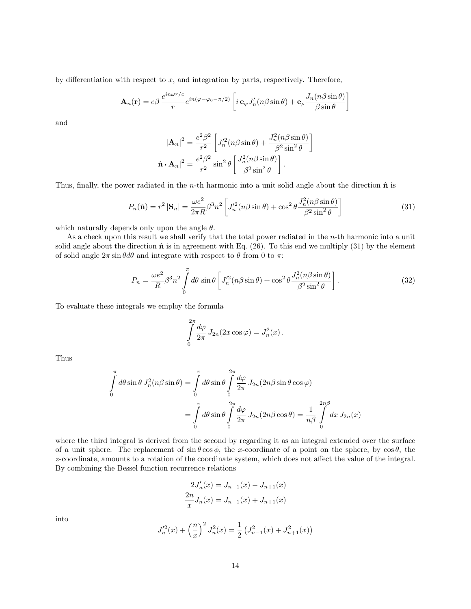by differentiation with respect to  $x$ , and integration by parts, respectively. Therefore,

$$
\mathbf{A}_n(\mathbf{r}) = e\beta \frac{e^{in\omega r/c}}{r} e^{in(\varphi - \varphi_0 - \pi/2)} \left[ i \mathbf{e}_{\varphi} J'_n(n\beta \sin \theta) + \mathbf{e}_{\rho} \frac{J_n(n\beta \sin \theta)}{\beta \sin \theta} \right]
$$

and

$$
|\mathbf{A}_n|^2 = \frac{e^2 \beta^2}{r^2} \left[ J_n'^2(n\beta \sin \theta) + \frac{J_n^2(n\beta \sin \theta)}{\beta^2 \sin^2 \theta} \right]
$$

$$
|\hat{\mathbf{n}} \cdot \mathbf{A}_n|^2 = \frac{e^2 \beta^2}{r^2} \sin^2 \theta \left[ \frac{J_n^2(n\beta \sin \theta)}{\beta^2 \sin^2 \theta} \right].
$$

Thus, finally, the power radiated in the  $n$ -th harmonic into a unit solid angle about the direction  $\hat{\mathbf{n}}$  is

$$
P_n(\hat{\mathbf{n}}) = r^2 |\mathbf{S}_n| = \frac{\omega e^2}{2\pi R} \beta^3 n^2 \left[ J_n'^2(n\beta \sin \theta) + \cos^2 \theta \frac{J_n^2(n\beta \sin \theta)}{\beta^2 \sin^2 \theta} \right]
$$
(31)

which naturally depends only upon the angle *θ*.

As a check upon this result we shall verify that the total power radiated in the *n*-th harmonic into a unit solid angle about the direction  $\hat{\mathbf{n}}$  is in agreement with Eq. (26). To this end we multiply (31) by the element of solid angle  $2\pi \sin \theta d\theta$  and integrate with respect to  $\theta$  from 0 to  $\pi$ :

$$
P_n = \frac{\omega e^2}{R} \beta^3 n^2 \int_0^{\pi} d\theta \, \sin \theta \left[ J_n'^2(n\beta \sin \theta) + \cos^2 \theta \frac{J_n^2(n\beta \sin \theta)}{\beta^2 \sin^2 \theta} \right]. \tag{32}
$$

To evaluate these integrals we employ the formula

$$
\int_{0}^{2\pi} \frac{d\varphi}{2\pi} J_{2n}(2x \cos \varphi) = J_n^2(x).
$$

Thus

$$
\int_{0}^{\pi} d\theta \sin \theta \, J_n^2(n\beta \sin \theta) = \int_{0}^{\pi} d\theta \sin \theta \int_{0}^{2\pi} \frac{d\varphi}{2\pi} J_{2n}(2n\beta \sin \theta \cos \varphi)
$$

$$
= \int_{0}^{\pi} d\theta \sin \theta \int_{0}^{2\pi} \frac{d\varphi}{2\pi} J_{2n}(2n\beta \cos \theta) = \frac{1}{n\beta} \int_{0}^{2n\beta} dx \, J_{2n}(x)
$$

where the third integral is derived from the second by regarding it as an integral extended over the surface of a unit sphere. The replacement of  $\sin \theta \cos \phi$ , the *x*-coordinate of a point on the sphere, by  $\cos \theta$ , the *z*-coordinate, amounts to a rotation of the coordinate system, which does not affect the value of the integral. By combining the Bessel function recurrence relations

$$
2J'_{n}(x) = J_{n-1}(x) - J_{n+1}(x)
$$

$$
\frac{2n}{x}J_{n}(x) = J_{n-1}(x) + J_{n+1}(x)
$$

into

$$
J_n'^2(x) + \left(\frac{n}{x}\right)^2 J_n^2(x) = \frac{1}{2} \left( J_{n-1}^2(x) + J_{n+1}^2(x) \right)
$$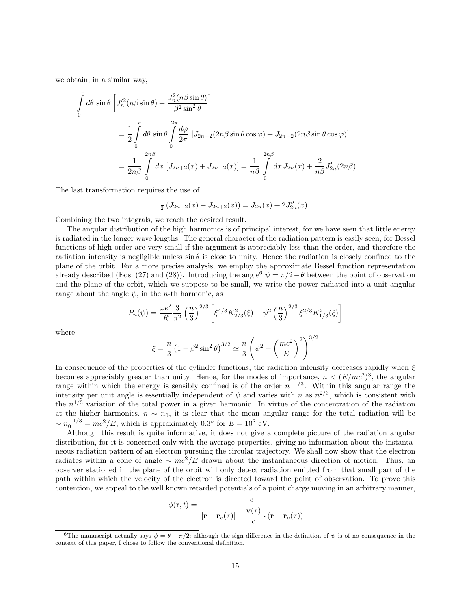we obtain, in a similar way,

$$
\int_{0}^{\pi} d\theta \sin \theta \left[ J_n'^2(n\beta \sin \theta) + \frac{J_n^2(n\beta \sin \theta)}{\beta^2 \sin^2 \theta} \right]
$$
  
=  $\frac{1}{2} \int_{0}^{\pi} d\theta \sin \theta \int_{0}^{2\pi} \frac{d\varphi}{2\pi} [J_{2n+2}(2n\beta \sin \theta \cos \varphi) + J_{2n-2}(2n\beta \sin \theta \cos \varphi)]$   
=  $\frac{1}{2n\beta} \int_{0}^{2n\beta} dx [J_{2n+2}(x) + J_{2n-2}(x)] = \frac{1}{n\beta} \int_{0}^{2n\beta} dx J_{2n}(x) + \frac{2}{n\beta} J_{2n}'(2n\beta).$ 

The last transformation requires the use of

$$
\frac{1}{2}(J_{2n-2}(x) + J_{2n+2}(x)) = J_{2n}(x) + 2J''_{2n}(x).
$$

Combining the two integrals, we reach the desired result.

The angular distribution of the high harmonics is of principal interest, for we have seen that little energy is radiated in the longer wave lengths. The general character of the radiation pattern is easily seen, for Bessel functions of high order are very small if the argument is appreciably less than the order, and therefore the radiation intensity is negligible unless  $\sin \theta$  is close to unity. Hence the radiation is closely confined to the plane of the orbit. For a more precise analysis, we employ the approximate Bessel function representation already described (Eqs. (27) and (28)). Introducing the angle<sup>6</sup>  $\psi = \pi/2 - \theta$  between the point of observation and the plane of the orbit, which we suppose to be small, we write the power radiated into a unit angular range about the angle  $\psi$ , in the *n*-th harmonic, as

$$
P_n(\psi) = \frac{\omega e^2}{R} \frac{3}{\pi^2} \left(\frac{n}{3}\right)^{2/3} \left[ \xi^{4/3} K_{2/3}^2(\xi) + \psi^2 \left(\frac{n}{3}\right)^{2/3} \xi^{2/3} K_{1/3}^2(\xi) \right]
$$

where

$$
\xi = \frac{n}{3} \left( 1 - \beta^2 \sin^2 \theta \right)^{3/2} \simeq \frac{n}{3} \left( \psi^2 + \left( \frac{mc^2}{E} \right)^2 \right)^{3/2}
$$

In consequence of the properties of the cylinder functions, the radiation intensity decreases rapidly when *ξ* becomes appreciably greater than unity. Hence, for the modes of importance,  $n < (E/mc^2)^3$ , the angular range within which the energy is sensibly confined is of the order  $n^{-1/3}$ . Within this angular range the intensity per unit angle is essentially independent of  $\psi$  and varies with *n* as  $n^{2/3}$ , which is consistent with the  $n^{1/3}$  variation of the total power in a given harmonic. In virtue of the concentration of the radiation at the higher harmonics,  $n \sim n_0$ , it is clear that the mean angular range for the total radiation will be  $\sim n_0^{-1/3} = mc^2/E$ , which is approximately 0.3° for  $E = 10^8$  eV.

Although this result is quite informative, it does not give a complete picture of the radiation angular distribution, for it is concerned only with the average properties, giving no information about the instantaneous radiation pattern of an electron pursuing the circular trajectory. We shall now show that the electron radiates within a cone of angle ∼ *mc*<sup>2</sup>*/E* drawn about the instantaneous direction of motion. Thus, an observer stationed in the plane of the orbit will only detect radiation emitted from that small part of the path within which the velocity of the electron is directed toward the point of observation. To prove this contention, we appeal to the well known retarded potentials of a point charge moving in an arbitrary manner,

$$
\phi(\mathbf{r},t) = \frac{e}{|\mathbf{r} - \mathbf{r}_e(\tau)| - \frac{\mathbf{v}(\tau)}{c} \cdot (\mathbf{r} - \mathbf{r}_e(\tau))}
$$

<sup>&</sup>lt;sup>6</sup>The manuscript actually says  $\psi = \theta - \pi/2$ ; although the sign difference in the definition of  $\psi$  is of no consequence in the context of this paper, I chose to follow the conventional definition.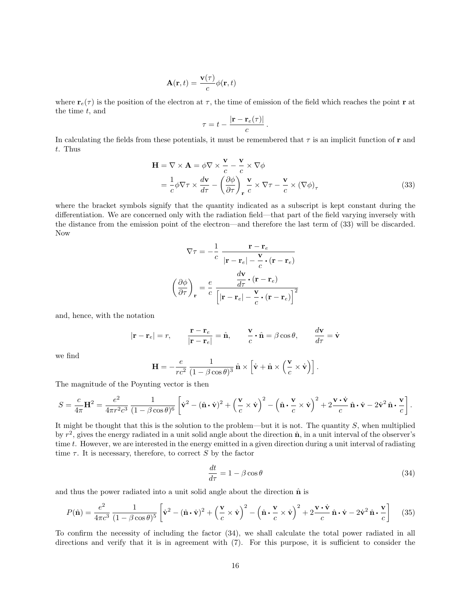$$
\mathbf{A}(\mathbf{r},t) = \frac{\mathbf{v}(\tau)}{c} \phi(\mathbf{r},t)
$$

where  $\mathbf{r}_e(\tau)$  is the position of the electron at  $\tau$ , the time of emission of the field which reaches the point **r** at the time *t*, and

$$
\tau = t - \frac{|\mathbf{r} - \mathbf{r}_e(\tau)|}{c}.
$$

In calculating the fields from these potentials, it must be remembered that *τ* is an implicit function of **r** and *t*. Thus

$$
\mathbf{H} = \nabla \times \mathbf{A} = \phi \nabla \times \frac{\mathbf{v}}{c} - \frac{\mathbf{v}}{c} \times \nabla \phi
$$
  
=  $\frac{1}{c} \phi \nabla \tau \times \frac{d\mathbf{v}}{d\tau} - \left(\frac{\partial \phi}{\partial \tau}\right)_{\mathbf{r}} \frac{\mathbf{v}}{c} \times \nabla \tau - \frac{\mathbf{v}}{c} \times (\nabla \phi)_{\tau}$  (33)

where the bracket symbols signify that the quantity indicated as a subscript is kept constant during the differentiation. We are concerned only with the radiation field—that part of the field varying inversely with the distance from the emission point of the electron—and therefore the last term of (33) will be discarded. Now

$$
\nabla \tau = -\frac{1}{c} \frac{\mathbf{r} - \mathbf{r}_e}{|\mathbf{r} - \mathbf{r}_e| - \frac{\mathbf{v}}{c} \cdot (\mathbf{r} - \mathbf{r}_e)}
$$

$$
\left(\frac{\partial \phi}{\partial \tau}\right)_{\mathbf{r}} = \frac{e}{c} \frac{\frac{d\mathbf{v}}{d\tau} \cdot (\mathbf{r} - \mathbf{r}_e)}{\left[|\mathbf{r} - \mathbf{r}_e| - \frac{\mathbf{v}}{c} \cdot (\mathbf{r} - \mathbf{r}_e)\right]^2}
$$

and, hence, with the notation

$$
|\mathbf{r} - \mathbf{r}_e| = r,
$$
  $\frac{\mathbf{r} - \mathbf{r}_e}{|\mathbf{r} - \mathbf{r}_e|} = \hat{\mathbf{n}},$   $\frac{\mathbf{v}}{c} \cdot \hat{\mathbf{n}} = \beta \cos \theta,$   $\frac{d\mathbf{v}}{d\tau} = \dot{\mathbf{v}}$ 

we find

$$
\mathbf{H} = -\frac{e}{rc^2} \frac{1}{(1 - \beta \cos \theta)^3} \hat{\mathbf{n}} \times \left[ \dot{\mathbf{v}} + \hat{\mathbf{n}} \times \left( \frac{\mathbf{v}}{c} \times \dot{\mathbf{v}} \right) \right].
$$

The magnitude of the Poynting vector is then

$$
S = \frac{c}{4\pi} \mathbf{H}^2 = \frac{e^2}{4\pi r^2 c^3} \frac{1}{(1 - \beta \cos \theta)^6} \left[ \dot{\mathbf{v}}^2 - (\hat{\mathbf{n}} \cdot \dot{\mathbf{v}})^2 + \left( \frac{\mathbf{v}}{c} \times \dot{\mathbf{v}} \right)^2 - \left( \hat{\mathbf{n}} \cdot \frac{\mathbf{v}}{c} \times \dot{\mathbf{v}} \right)^2 + 2 \frac{\mathbf{v} \cdot \dot{\mathbf{v}}}{c} \hat{\mathbf{n}} \cdot \dot{\mathbf{v}} - 2 \dot{\mathbf{v}}^2 \hat{\mathbf{n}} \cdot \frac{\mathbf{v}}{c} \right].
$$

It might be thought that this is the solution to the problem—but it is not. The quantity *S*, when multiplied by  $r^2$ , gives the energy radiated in a unit solid angle about the direction  $\hat{\mathbf{n}}$ , in a unit interval of the observer's time *t*. However, we are interested in the energy emitted in a given direction during a unit interval of radiating time  $\tau$ . It is necessary, therefore, to correct *S* by the factor

$$
\frac{dt}{d\tau} = 1 - \beta \cos \theta \tag{34}
$$

and thus the power radiated into a unit solid angle about the direction  $\hat{\mathbf{n}}$  is

$$
P(\hat{\mathbf{n}}) = \frac{e^2}{4\pi c^3} \frac{1}{(1 - \beta \cos \theta)^5} \left[ \dot{\mathbf{v}}^2 - (\hat{\mathbf{n}} \cdot \dot{\mathbf{v}})^2 + \left(\frac{\mathbf{v}}{c} \times \dot{\mathbf{v}}\right)^2 - \left(\hat{\mathbf{n}} \cdot \frac{\mathbf{v}}{c} \times \dot{\mathbf{v}}\right)^2 + 2\frac{\mathbf{v} \cdot \dot{\mathbf{v}}}{c} \hat{\mathbf{n}} \cdot \dot{\mathbf{v}} - 2\dot{\mathbf{v}}^2 \hat{\mathbf{n}} \cdot \frac{\mathbf{v}}{c} \right]
$$
(35)

To confirm the necessity of including the factor (34), we shall calculate the total power radiated in all directions and verify that it is in agreement with (7). For this purpose, it is sufficient to consider the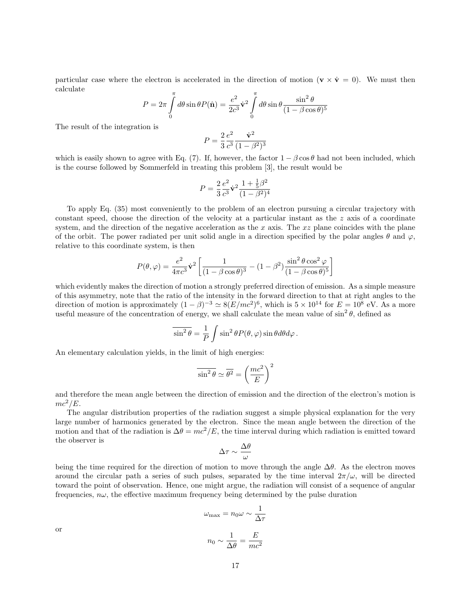particular case where the electron is accelerated in the direction of motion ( $\mathbf{v} \times \dot{\mathbf{v}} = 0$ ). We must then calculate

$$
P = 2\pi \int_{0}^{\pi} d\theta \sin \theta P(\hat{\mathbf{n}}) = \frac{e^2}{2c^3} \dot{\mathbf{v}}^2 \int_{0}^{\pi} d\theta \sin \theta \frac{\sin^2 \theta}{(1 - \beta \cos \theta)^5}
$$

The result of the integration is

$$
P = \frac{2}{3} \frac{e^2}{c^3} \frac{\dot{\mathbf{v}}^2}{(1 - \beta^2)^3}
$$

which is easily shown to agree with Eq. (7). If, however, the factor  $1 - \beta \cos \theta$  had not been included, which is the course followed by Sommerfeld in treating this problem [3], the result would be

$$
P = \frac{2}{3} \frac{e^2}{c^3} \dot{\mathbf{v}}^2 \frac{1 + \frac{1}{5}\beta^2}{(1 - \beta^2)^4}
$$

To apply Eq. (35) most conveniently to the problem of an electron pursuing a circular trajectory with constant speed, choose the direction of the velocity at a particular instant as the *z* axis of a coordinate system, and the direction of the negative acceleration as the *x* axis. The *xz* plane coincides with the plane of the orbit. The power radiated per unit solid angle in a direction specified by the polar angles  $\theta$  and  $\varphi$ , relative to this coordinate system, is then

$$
P(\theta, \varphi) = \frac{e^2}{4\pi c^3} \dot{\mathbf{v}}^2 \left[ \frac{1}{(1 - \beta \cos \theta)^3} - (1 - \beta^2) \frac{\sin^2 \theta \cos^2 \varphi}{(1 - \beta \cos \theta)^5} \right]
$$

which evidently makes the direction of motion a strongly preferred direction of emission. As a simple measure of this asymmetry, note that the ratio of the intensity in the forward direction to that at right angles to the direction of motion is approximately  $(1 - \beta)^{-3} \simeq 8(E/mc^2)^6$ , which is  $5 \times 10^{14}$  for  $E = 10^8$  eV. As a more useful measure of the concentration of energy, we shall calculate the mean value of  $\sin^2 \theta$ , defined as

$$
\overline{\sin^2 \theta} = \frac{1}{P} \int \sin^2 \theta P(\theta, \varphi) \sin \theta d\theta d\varphi.
$$

An elementary calculation yields, in the limit of high energies:

$$
\sin^2 \theta \simeq \overline{\theta^2} = \left(\frac{mc^2}{E}\right)^2
$$

and therefore the mean angle between the direction of emission and the direction of the electron's motion is *mc*<sup>2</sup>*/E*.

The angular distribution properties of the radiation suggest a simple physical explanation for the very large number of harmonics generated by the electron. Since the mean angle between the direction of the motion and that of the radiation is  $\Delta \theta = mc^2/E$ , the time interval during which radiation is emitted toward the observer is

$$
\Delta\tau\sim\frac{\Delta\theta}{\omega}
$$

being the time required for the direction of motion to move through the angle ∆*θ*. As the electron moves around the circular path a series of such pulses, separated by the time interval  $2\pi/\omega$ , will be directed toward the point of observation. Hence, one might argue, the radiation will consist of a sequence of angular frequencies,  $n\omega$ , the effective maximum frequency being determined by the pulse duration

∆*τ*

or  

$$
\omega_{\text{max}} = n_0 \omega \sim \frac{1}{\Delta}
$$

$$
n_0 \sim \frac{1}{\Delta \theta} = \frac{E}{mc^2}
$$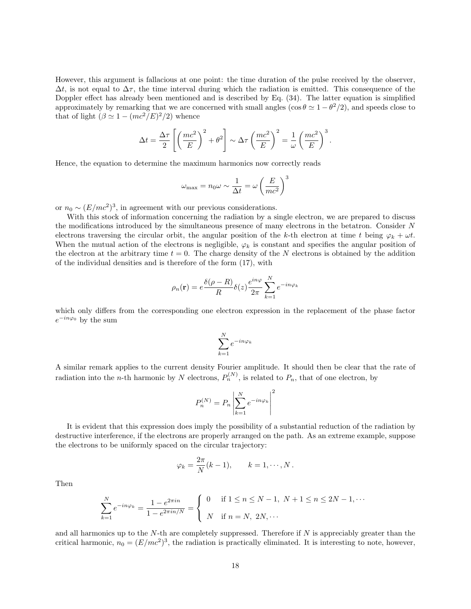However, this argument is fallacious at one point: the time duration of the pulse received by the observer,  $\Delta t$ , is not equal to  $\Delta \tau$ , the time interval during which the radiation is emitted. This consequence of the Doppler effect has already been mentioned and is described by Eq. (34). The latter equation is simplified approximately by remarking that we are concerned with small angles ( $\cos \theta \simeq 1 - \theta^2/2$ ), and speeds close to that of light  $(\beta \simeq 1 - (mc^2/E)^2/2)$  whence

$$
\Delta t = \frac{\Delta \tau}{2} \left[ \left( \frac{mc^2}{E} \right)^2 + \theta^2 \right] \sim \Delta \tau \left( \frac{mc^2}{E} \right)^2 = \frac{1}{\omega} \left( \frac{mc^2}{E} \right)^3.
$$

Hence, the equation to determine the maximum harmonics now correctly reads

$$
\omega_{\text{max}} = n_0 \omega \sim \frac{1}{\Delta t} = \omega \left(\frac{E}{mc^2}\right)^3
$$

or  $n_0 \sim (E/mc^2)^3$ , in agreement with our previous considerations.

With this stock of information concerning the radiation by a single electron, we are prepared to discuss the modifications introduced by the simultaneous presence of many electrons in the betatron. Consider *N* electrons traversing the circular orbit, the angular position of the *k*-th electron at time *t* being  $\varphi_k + \omega t$ . When the mutual action of the electrons is negligible,  $\varphi_k$  is constant and specifies the angular position of the electron at the arbitrary time  $t = 0$ . The charge density of the *N* electrons is obtained by the addition of the individual densities and is therefore of the form (17), with

$$
\rho_n(\mathbf{r}) = e^{\frac{\delta(\rho - R)}{R}} \delta(z) \frac{e^{in\varphi}}{2\pi} \sum_{k=1}^N e^{-in\varphi_k}
$$

which only differs from the corresponding one electron expression in the replacement of the phase factor *e*−*inϕ*<sup>0</sup> by the sum

$$
\sum_{k=1}^{N} e^{-in\varphi_k}
$$

A similar remark applies to the current density Fourier amplitude. It should then be clear that the rate of radiation into the *n*-th harmonic by *N* electrons,  $P_n^{(N)}$ , is related to  $P_n$ , that of one electron, by

$$
P_n^{(N)} = P_n \left| \sum_{k=1}^N e^{-in\varphi_k} \right|^2
$$

It is evident that this expression does imply the possibility of a substantial reduction of the radiation by destructive interference, if the electrons are properly arranged on the path. As an extreme example, suppose the electrons to be uniformly spaced on the circular trajectory:

$$
\varphi_k = \frac{2\pi}{N}(k-1), \qquad k = 1, \cdots, N.
$$

Then

$$
\sum_{k=1}^{N} e^{-in\varphi_k} = \frac{1 - e^{2\pi in}}{1 - e^{2\pi in/N}} = \begin{cases} 0 & \text{if } 1 \le n \le N - 1, \ N + 1 \le n \le 2N - 1, \cdots \\ N & \text{if } n = N, \ 2N, \cdots \end{cases}
$$

and all harmonics up to the *N*-th are completely suppressed. Therefore if *N* is appreciably greater than the critical harmonic,  $n_0 = (E/mc^2)^3$ , the radiation is practically eliminated. It is interesting to note, however,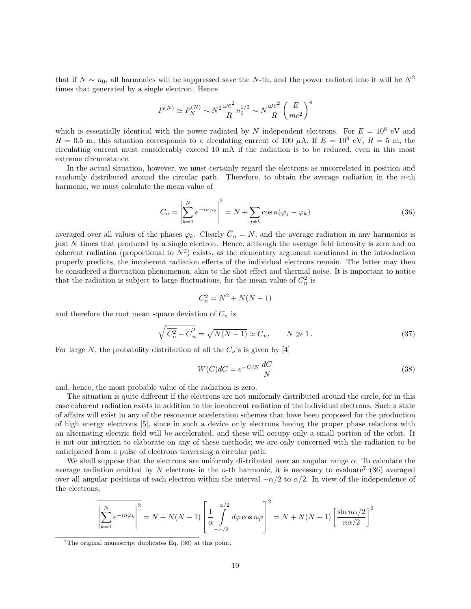that if  $N \sim n_0$ , all harmonics will be suppressed save the *N*-th, and the power radiated into it will be  $N^2$ times that generated by a single electron. Hence

$$
P^{(N)} \simeq P_N^{(N)} \sim N^2 \frac{\omega e^2}{R} n_0^{1/3} \sim N \frac{\omega e^2}{R} \left(\frac{E}{mc^2}\right)^4
$$

which is essentially identical with the power radiated by *N* independent electrons. For  $E = 10^8$  eV and  $R = 0.5$  m, this situation corresponds to a circulating current of 100  $\mu$ A. If  $E = 10^9$  eV,  $R = 5$  m, the circulating current must considerably exceed 10 mA if the radiation is to be reduced, even in this most extreme circumstance.

In the actual situation, however, we must certainly regard the electrons as uncorrelated in position and randomly distributed around the circular path. Therefore, to obtain the average radiation in the *n*-th harmonic, we must calculate the mean value of

$$
C_n = \left| \sum_{k=1}^{N} e^{-in\varphi_k} \right|^2 = N + \sum_{j \neq k} \cos n(\varphi_j - \varphi_k)
$$
 (36)

averaged over all values of the phases  $\varphi_k$ . Clearly  $\overline{C}_n = N$ , and the average radiation in any harmonics is just N times that produced by a single electron. Hence, although the average field intensity is zero and no coherent radiation (proportional to  $N^2$ ) exists, as the elementary argument mentioned in the introduction properly predicts, the incoherent radiation effects of the individual electrons remain. The latter may then be considered a fluctuation phenomenon, akin to the shot effect and thermal noise. It is important to notice that the radiation is subject to large fluctuations, for the mean value of  $C_n^2$  is

$$
\overline{C_n^2} = N^2 + N(N-1)
$$

and therefore the root mean square deviation of  $C_n$  is

$$
\sqrt{\overline{C_n^2} - \overline{C_n^2}} = \sqrt{N(N-1)} \simeq \overline{C}_n, \qquad N \gg 1. \tag{37}
$$

For large *N*, the probability distribution of all the  $C_n$ 's is given by [4]

$$
W(C)dC = e^{-C/N} \frac{dC}{N}
$$
\n(38)

and, hence, the most probable value of the radiation is zero.

The situation is quite different if the electrons are not uniformly distributed around the circle, for in this case coherent radiation exists in addition to the incoherent radiation of the individual electrons. Such a state of affairs will exist in any of the resonance acceleration schemes that have been proposed for the production of high energy electrons [5], since in such a device only electrons having the proper phase relations with an alternating electric field will be accelerated, and these will occupy only a small portion of the orbit. It is not our intention to elaborate on any of these methods; we are only concerned with the radiation to be anticipated from a pulse of electrons traversing a circular path.

We shall suppose that the electrons are uniformly distributed over an angular range *α*. To calculate the average radiation emitted by N electrons in the *n*-th harmonic, it is necessary to evaluate<sup>7</sup> (36) averaged over all angular positions of each electron within the interval  $-\alpha/2$  to  $\alpha/2$ . In view of the independence of the electrons,

$$
\left| \sum_{k=1}^{N} e^{-in\varphi_k} \right|^2 = N + N(N-1) \left[ \frac{1}{\alpha} \int_{-\alpha/2}^{\alpha/2} d\varphi \cos n\varphi \right]^2 = N + N(N-1) \left[ \frac{\sin n\alpha/2}{n\alpha/2} \right]^2
$$

<sup>7</sup>The original manuscript duplicates Eq. (36) at this point.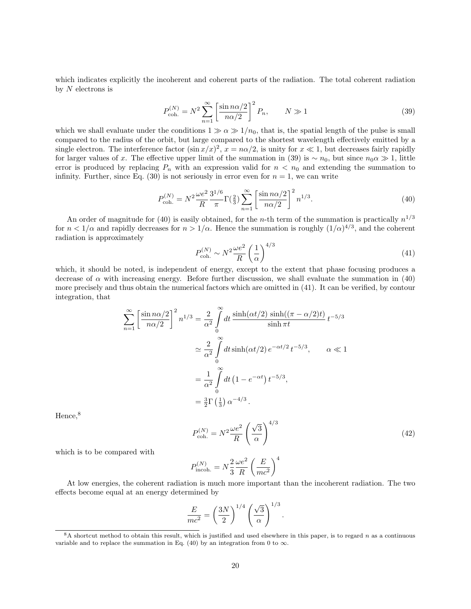which indicates explicitly the incoherent and coherent parts of the radiation. The total coherent radiation by *N* electrons is

$$
P_{\text{coh.}}^{(N)} = N^2 \sum_{n=1}^{\infty} \left[ \frac{\sin n\alpha/2}{n\alpha/2} \right]^2 P_n, \qquad N \gg 1
$$
 (39)

which we shall evaluate under the conditions  $1 \gg \alpha \gg 1/n_0$ , that is, the spatial length of the pulse is small compared to the radius of the orbit, but large compared to the shortest wavelength effectively emitted by a single electron. The interference factor  $(\sin x/x)^2$ ,  $x = n\alpha/2$ , is unity for  $x \ll 1$ , but decreases fairly rapidly for larger values of *x*. The effective upper limit of the summation in (39) is  $\sim n_0$ , but since  $n_0 \alpha \gg 1$ , little error is produced by replacing  $P_n$  with an expression valid for  $n < n_0$  and extending the summation to infinity. Further, since Eq.  $(30)$  is not seriously in error even for  $n = 1$ , we can write

$$
P_{\text{coh.}}^{(N)} = N^2 \frac{\omega e^2}{R} \frac{3^{1/6}}{\pi} \Gamma(\frac{2}{3}) \sum_{n=1}^{\infty} \left[ \frac{\sin n\alpha/2}{n\alpha/2} \right]^2 n^{1/3}.
$$
 (40)

An order of magnitude for (40) is easily obtained, for the *n*-th term of the summation is practically  $n^{1/3}$ for  $n < 1/\alpha$  and rapidly decreases for  $n > 1/\alpha$ . Hence the summation is roughly  $(1/\alpha)^{4/3}$ , and the coherent radiation is approximately

$$
P_{\text{coh.}}^{(N)} \sim N^2 \frac{\omega e^2}{R} \left(\frac{1}{\alpha}\right)^{4/3} \tag{41}
$$

which, it should be noted, is independent of energy, except to the extent that phase focusing produces a decrease of  $\alpha$  with increasing energy. Before further discussion, we shall evaluate the summation in (40) more precisely and thus obtain the numerical factors which are omitted in (41). It can be verified, by contour integration, that

$$
\sum_{n=1}^{\infty} \left[ \frac{\sin n\alpha/2}{n\alpha/2} \right]^2 n^{1/3} = \frac{2}{\alpha^2} \int_0^{\infty} dt \, \frac{\sinh(\alpha t/2) \, \sinh((\pi - \alpha/2)t)}{\sinh \pi t} \, t^{-5/3}
$$

$$
\approx \frac{2}{\alpha^2} \int_0^{\infty} dt \, \sinh(\alpha t/2) \, e^{-\alpha t/2} \, t^{-5/3}, \qquad \alpha \ll 1
$$

$$
= \frac{1}{\alpha^2} \int_0^{\infty} dt \, \left(1 - e^{-\alpha t}\right) t^{-5/3},
$$

$$
= \frac{3}{2} \Gamma\left(\frac{1}{3}\right) \alpha^{-4/3}.
$$

Hence,<sup>8</sup>

$$
P_{\text{coh.}}^{(N)} = N^2 \frac{\omega e^2}{R} \left(\frac{\sqrt{3}}{\alpha}\right)^{4/3} \tag{42}
$$

which is to be compared with

$$
P_{\text{incoh.}}^{(N)} = N\frac{2}{3}\frac{\omega e^2}{R} \left(\frac{E}{mc^2}\right)^4
$$

At low energies, the coherent radiation is much more important than the incoherent radiation. The two effects become equal at an energy determined by

$$
\frac{E}{mc^2} = \left(\frac{3N}{2}\right)^{1/4} \left(\frac{\sqrt{3}}{\alpha}\right)^{1/3}.
$$

<sup>8</sup>A shortcut method to obtain this result, which is justified and used elsewhere in this paper, is to regard *n* as a continuous variable and to replace the summation in Eq. (40) by an integration from 0 to  $\infty$ .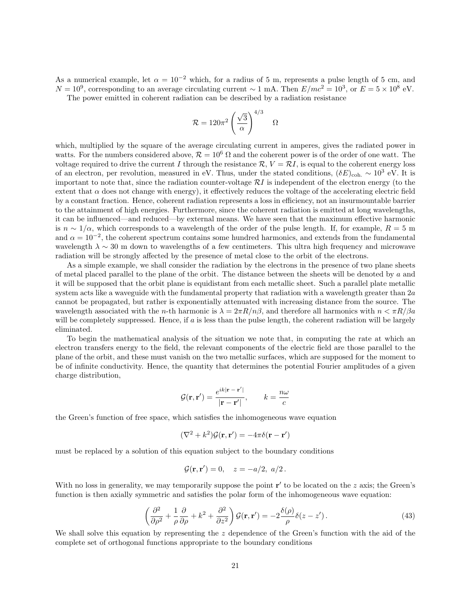As a numerical example, let  $\alpha = 10^{-2}$  which, for a radius of 5 m, represents a pulse length of 5 cm, and  $N = 10^9$ , corresponding to an average circulating current ~ 1 mA. Then  $E/mc^2 = 10^3$ , or  $E = 5 \times 10^8$  eV.

The power emitted in coherent radiation can be described by a radiation resistance

$$
\mathcal{R} = 120\pi^2 \left(\frac{\sqrt{3}}{\alpha}\right)^{4/3} \quad \Omega
$$

which, multiplied by the square of the average circulating current in amperes, gives the radiated power in watts. For the numbers considered above,  $\mathcal{R} = 10^6 \Omega$  and the coherent power is of the order of one watt. The voltage required to drive the current *I* through the resistance  $\mathcal{R}, V = \mathcal{R}I$ , is equal to the coherent energy loss of an electron, per revolution, measured in eV. Thus, under the stated conditions,  $(\delta E)_{\text{coh.}} \sim 10^3$  eV. It is important to note that, since the radiation counter-voltage  $\mathcal{R}I$  is independent of the electron energy (to the extent that  $\alpha$  does not change with energy), it effectively reduces the voltage of the accelerating electric field by a constant fraction. Hence, coherent radiation represents a loss in efficiency, not an insurmountable barrier to the attainment of high energies. Furthermore, since the coherent radiation is emitted at long wavelengths, it can be influenced—and reduced—by external means. We have seen that the maximum effective harmonic is *n* ∼ 1/ $\alpha$ , which corresponds to a wavelength of the order of the pulse length. If, for example, *R* = 5 m and  $\alpha = 10^{-2}$ , the coherent spectrum contains some hundred harmonics, and extends from the fundamental wavelength *λ* ∼ 30 m down to wavelengths of a few centimeters. This ultra high frequency and microwave radiation will be strongly affected by the presence of metal close to the orbit of the electrons.

As a simple example, we shall consider the radiation by the electrons in the presence of two plane sheets of metal placed parallel to the plane of the orbit. The distance between the sheets will be denoted by *a* and it will be supposed that the orbit plane is equidistant from each metallic sheet. Such a parallel plate metallic system acts like a waveguide with the fundamental property that radiation with a wavelength greater than 2*a* cannot be propagated, but rather is exponentially attenuated with increasing distance from the source. The wavelength associated with the *n*-th harmonic is  $\lambda = 2\pi R/n\beta$ , and therefore all harmonics with  $n < \pi R/\beta a$ will be completely suppressed. Hence, if *a* is less than the pulse length, the coherent radiation will be largely eliminated.

To begin the mathematical analysis of the situation we note that, in computing the rate at which an electron transfers energy to the field, the relevant components of the electric field are those parallel to the plane of the orbit, and these must vanish on the two metallic surfaces, which are supposed for the moment to be of infinite conductivity. Hence, the quantity that determines the potential Fourier amplitudes of a given charge distribution,

$$
\mathcal{G}(\mathbf{r}, \mathbf{r}') = \frac{e^{ik|\mathbf{r} - \mathbf{r}'|}}{|\mathbf{r} - \mathbf{r}'|}, \qquad k = \frac{n\omega}{c}
$$

the Green's function of free space, which satisfies the inhomogeneous wave equation

$$
(\nabla^2 + k^2)\mathcal{G}(\mathbf{r}, \mathbf{r}') = -4\pi\delta(\mathbf{r} - \mathbf{r}')
$$

must be replaced by a solution of this equation subject to the boundary conditions

$$
\mathcal{G}(\mathbf{r}, \mathbf{r}') = 0, \quad z = -a/2, \ a/2.
$$

With no loss in generality, we may temporarily suppose the point  $\mathbf{r}'$  to be located on the *z* axis; the Green's function is then axially symmetric and satisfies the polar form of the inhomogeneous wave equation:

$$
\left(\frac{\partial^2}{\partial \rho^2} + \frac{1}{\rho} \frac{\partial}{\partial \rho} + k^2 + \frac{\partial^2}{\partial z^2}\right) \mathcal{G}(\mathbf{r}, \mathbf{r}') = -2 \frac{\delta(\rho)}{\rho} \delta(z - z'). \tag{43}
$$

We shall solve this equation by representing the *z* dependence of the Green's function with the aid of the complete set of orthogonal functions appropriate to the boundary conditions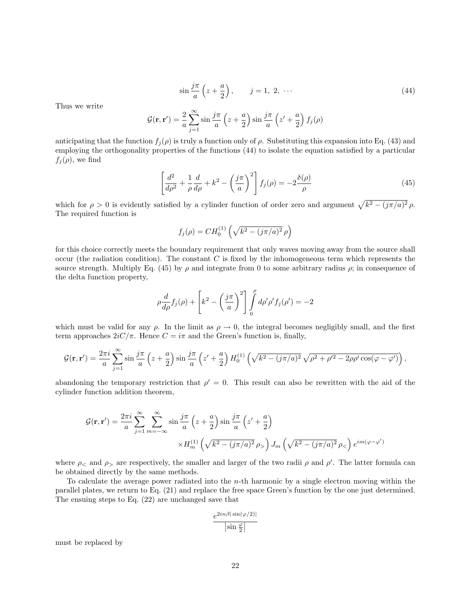$$
\sin\frac{j\pi}{a}\left(z+\frac{a}{2}\right), \qquad j=1, 2, \cdots \tag{44}
$$

Thus we write

$$
\mathcal{G}(\mathbf{r}, \mathbf{r}') = \frac{2}{a} \sum_{j=1}^{\infty} \sin \frac{j\pi}{a} \left( z + \frac{a}{2} \right) \sin \frac{j\pi}{a} \left( z' + \frac{a}{2} \right) f_j(\rho)
$$

anticipating that the function  $f_i(\rho)$  is truly a function only of  $\rho$ . Substituting this expansion into Eq. (43) and employing the orthogonality properties of the functions (44) to isolate the equation satisfied by a particular  $f_j(\rho)$ , we find

$$
\left[\frac{d^2}{d\rho^2} + \frac{1}{\rho}\frac{d}{d\rho} + k^2 - \left(\frac{j\pi}{a}\right)^2\right]f_j(\rho) = -2\frac{\delta(\rho)}{\rho}
$$
\n(45)

which for  $\rho > 0$  is evidently satisfied by a cylinder function of order zero and argument  $\sqrt{k^2 - (j\pi/a)^2} \rho$ . The required function is

$$
f_j(\rho) = CH_0^{(1)} \left( \sqrt{k^2 - (j\pi/a)^2} \rho \right)
$$

for this choice correctly meets the boundary requirement that only waves moving away from the source shall occur (the radiation condition). The constant *C* is fixed by the inhomogeneous term which represents the source strength. Multiply Eq. (45) by  $\rho$  and integrate from 0 to some arbitrary radius  $\rho$ ; in consequence of the delta function property,

$$
\rho \frac{d}{d\rho} f_j(\rho) + \left[ k^2 - \left( \frac{j\pi}{a} \right)^2 \right] \int_0^{\rho} d\rho' \rho' f_j(\rho') = -2
$$

which must be valid for any  $\rho$ . In the limit as  $\rho \to 0$ , the integral becomes negligibly small, and the first term approaches  $2iC/\pi$ . Hence  $C = i\pi$  and the Green's function is, finally,

$$
\mathcal{G}(\mathbf{r}, \mathbf{r}') = \frac{2\pi i}{a} \sum_{j=1}^{\infty} \sin \frac{j\pi}{a} \left( z + \frac{a}{2} \right) \sin \frac{j\pi}{a} \left( z' + \frac{a}{2} \right) H_0^{(1)} \left( \sqrt{k^2 - (j\pi/a)^2} \sqrt{\rho^2 + \rho'^2 - 2\rho \rho' \cos(\varphi - \varphi')} \right),
$$

abandoning the temporary restriction that  $\rho' = 0$ . This result can also be rewritten with the aid of the cylinder function addition theorem,

$$
\mathcal{G}(\mathbf{r}, \mathbf{r}') = \frac{2\pi i}{a} \sum_{j=1}^{\infty} \sum_{m=-\infty}^{\infty} \sin \frac{j\pi}{a} \left(z + \frac{a}{2}\right) \sin \frac{j\pi}{a} \left(z' + \frac{a}{2}\right)
$$

$$
\times H_m^{(1)}\left(\sqrt{k^2 - (j\pi/a)^2} \rho_{>}\right) J_m\left(\sqrt{k^2 - (j\pi/a)^2} \rho_{<}\right) e^{im(\varphi - \varphi')}
$$

where  $\rho$ <sub><</sub> and  $\rho$ <sub>></sub> are respectively, the smaller and larger of the two radii  $\rho$  and  $\rho'$ . The latter formula can be obtained directly by the same methods.

To calculate the average power radiated into the *n*-th harmonic by a single electron moving within the parallel plates, we return to Eq. (21) and replace the free space Green's function by the one just determined. The ensuing steps to Eq. (22) are unchanged save that

$$
\frac{e^{2in\beta|\sin(\varphi/2)|}}{|\sin\frac{\varphi}{2}|}
$$

must be replaced by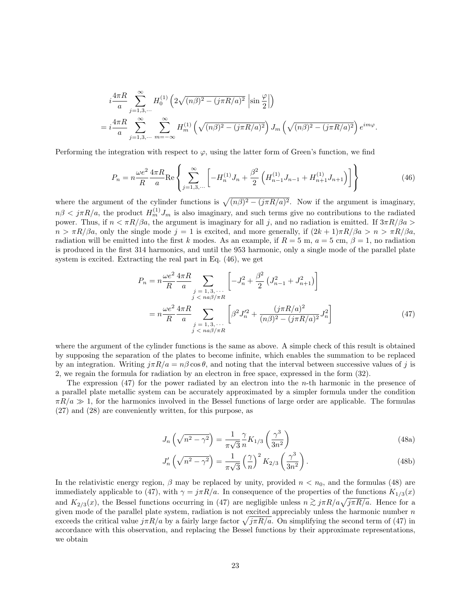$$
i\frac{4\pi R}{a} \sum_{j=1,3,\cdots}^{\infty} H_0^{(1)} \left( 2\sqrt{(n\beta)^2 - (j\pi R/a)^2} \left| \sin \frac{\varphi}{2} \right| \right)
$$
  
=  $i\frac{4\pi R}{a} \sum_{j=1,3,\cdots}^{\infty} \sum_{m=-\infty}^{\infty} H_m^{(1)} \left( \sqrt{(n\beta)^2 - (j\pi R/a)^2} \right) J_m \left( \sqrt{(n\beta)^2 - (j\pi R/a)^2} \right) e^{im\varphi}.$ 

Performing the integration with respect to  $\varphi$ , using the latter form of Green's function, we find

$$
P_n = n \frac{\omega e^2}{R} \frac{4\pi R}{a} \text{Re}\left\{ \sum_{j=1,3,\dots}^{\infty} \left[ -H_n^{(1)} J_n + \frac{\beta^2}{2} \left( H_{n-1}^{(1)} J_{n-1} + H_{n+1}^{(1)} J_{n+1} \right) \right] \right\}
$$
(46)

where the argument of the cylinder functions is  $\sqrt{(n\beta)^2 - (j\pi R/a)^2}$ . Now if the argument is imaginary,  $n\beta < j\pi R/a$ , the product  $H_m^{(1)} J_m$  is also imaginary, and such terms give no contributions to the radiated power. Thus, if *n < πR/βa*, the argument is imaginary for all *j*, and no radiation is emitted. If 3*πR/βa >*  $n > \pi R/\beta a$ , only the single mode  $j = 1$  is excited, and more generally, if  $(2k + 1)\pi R/\beta a > n > \pi R/\beta a$ , radiation will be emitted into the first *k* modes. As an example, if  $R = 5$  m,  $a = 5$  cm,  $\beta = 1$ , no radiation is produced in the first 314 harmonics, and until the 953 harmonic, only a single mode of the parallel plate system is excited. Extracting the real part in Eq. (46), we get

$$
P_n = n \frac{\omega e^2}{R} \frac{4\pi R}{a} \sum_{\substack{j=1,3,\dots \\ j \, \le \, n a \beta/\pi R}} \left[ -J_n^2 + \frac{\beta^2}{2} \left( J_{n-1}^2 + J_{n+1}^2 \right) \right]
$$
  
= 
$$
n \frac{\omega e^2}{R} \frac{4\pi R}{a} \sum_{\substack{j=1,3,\dots \\ j \, \le \, n a \beta/\pi R}} \left[ \beta^2 J_n'^2 + \frac{(j\pi R/a)^2}{(n\beta)^2 - (j\pi R/a)^2} J_n^2 \right]
$$
(47)

where the argument of the cylinder functions is the same as above. A simple check of this result is obtained by supposing the separation of the plates to become infinite, which enables the summation to be replaced by an integration. Writing  $j\pi R/a = n\beta \cos \theta$ , and noting that the interval between successive values of *j* is 2, we regain the formula for radiation by an electron in free space, expressed in the form (32).

The expression (47) for the power radiated by an electron into the *n*-th harmonic in the presence of a parallel plate metallic system can be accurately approximated by a simpler formula under the condition  $\pi R/a \gg 1$ , for the harmonics involved in the Bessel functions of large order are applicable. The formulas (27) and (28) are conveniently written, for this purpose, as

$$
J_n\left(\sqrt{n^2-\gamma^2}\right) = \frac{1}{\pi\sqrt{3}}\frac{\gamma}{n}K_{1/3}\left(\frac{\gamma^3}{3n^2}\right)
$$
\n(48a)

$$
J'_n\left(\sqrt{n^2-\gamma^2}\right) = \frac{1}{\pi\sqrt{3}} \left(\frac{\gamma}{n}\right)^2 K_{2/3}\left(\frac{\gamma^3}{3n^2}\right). \tag{48b}
$$

In the relativistic energy region,  $\beta$  may be replaced by unity, provided  $n < n_0$ , and the formulas (48) are immediately applicable to (47), with  $\gamma = j\pi R/a$ . In consequence of the properties of the functions  $K_{1/3}(x)$ and  $K_{2/3}(x)$ , the Bessel functions occurring in (47) are negligible unless  $n \gtrsim j\pi R/a\sqrt{j\pi R/a}$ . Hence for a given mode of the parallel plate system, radiation is not excited appreciably unless the harmonic number *n* exceeds the critical value  $j\pi R/a$  by a fairly large factor  $\sqrt{j\pi R/a}$ . On simplifying the second term of (47) in accordance with this observation, and replacing the Bessel functions by their approximate representations, we obtain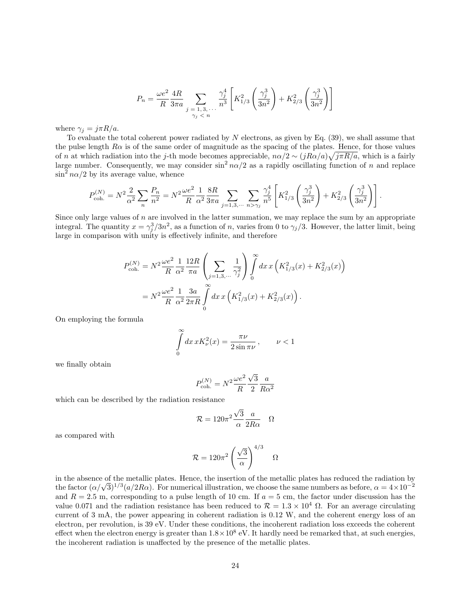$$
P_n = \frac{\omega e^2}{R} \frac{4R}{3\pi a} \sum_{\substack{j=1,3,\dots \\ \gamma_j < n}} \frac{\gamma_j^4}{n^3} \left[ K_{1/3}^2 \left( \frac{\gamma_j^3}{3n^2} \right) + K_{2/3}^2 \left( \frac{\gamma_j^3}{3n^2} \right) \right]
$$

where  $\gamma_i = j\pi R/a$ .

To evaluate the total coherent power radiated by *N* electrons, as given by Eq. (39), we shall assume that the pulse length  $R\alpha$  is of the same order of magnitude as the spacing of the plates. Hence, for those values of *n* at which radiation into the *j*-th mode becomes appreciable,  $n\alpha/2 \sim (jR\alpha/a)\sqrt{j\pi R/a}$ , which is a fairly large number. Consequently, we may consider  $\sin^2 n\alpha/2$  as a rapidly oscillating function of *n* and replace  $\sin^2 n\alpha/2$  by its average value, whence

$$
P_{\text{coh.}}^{(N)} = N^2 \frac{2}{\alpha^2} \sum_{n} \frac{P_n}{n^2} = N^2 \frac{\omega e^2}{R} \frac{1}{\alpha^2} \frac{8R}{3\pi a} \sum_{j=1,3,\cdots} \sum_{n > \gamma_j} \frac{\gamma_j^4}{n^5} \left[ K_{1/3}^2 \left( \frac{\gamma_j^3}{3n^2} \right) + K_{2/3}^2 \left( \frac{\gamma_j^3}{3n^2} \right) \right].
$$

Since only large values of *n* are involved in the latter summation, we may replace the sum by an appropriate integral. The quantity  $x = \gamma_j^3/3n^2$ , as a function of *n*, varies from 0 to  $\gamma_j/3$ . However, the latter limit, being large in comparison with unity is effectively infinite, and therefore

$$
P_{\text{coh.}}^{(N)} = N^2 \frac{\omega e^2}{R} \frac{1}{\alpha^2} \frac{12R}{\pi a} \left( \sum_{j=1,3,\dots} \frac{1}{\gamma_j^2} \right) \int_0^\infty dx \, x \left( K_{1/3}^2(x) + K_{2/3}^2(x) \right)
$$
  
= 
$$
N^2 \frac{\omega e^2}{R} \frac{1}{\alpha^2} \frac{3a}{2\pi R} \int_0^\infty dx \, x \left( K_{1/3}^2(x) + K_{2/3}^2(x) \right).
$$

On employing the formula

$$
\int_{0}^{\infty} dx \, x K_{\nu}^{2}(x) = \frac{\pi \nu}{2 \sin \pi \nu}, \qquad \nu < 1
$$

we finally obtain

$$
P_{\text{coh.}}^{(N)} = N^2 \frac{\omega e^2}{R} \frac{\sqrt{3}}{2} \frac{a}{R\alpha^2}
$$

which can be described by the radiation resistance

$$
\mathcal{R}=120\pi^2\frac{\sqrt{3}}{\alpha}\frac{a}{2R\alpha}\quad \Omega
$$

as compared with

$$
\mathcal{R}=120\pi^2\left(\frac{\sqrt{3}}{\alpha}\right)^{4/3}\quad \Omega
$$

in the absence of the metallic plates. Hence, the insertion of the metallic plates has reduced the radiation by the factor  $(\alpha/\sqrt{3})^{1/3}(a/2R\alpha)$ . For numerical illustration, we choose the same numbers as before,  $\alpha = 4 \times 10^{-2}$ and  $R = 2.5$  m, corresponding to a pulse length of 10 cm. If  $a = 5$  cm, the factor under discussion has the value 0.071 and the radiation resistance has been reduced to  $\mathcal{R} = 1.3 \times 10^4$   $\Omega$ . For an average circulating current of 3 mA, the power appearing in coherent radiation is 0.12 W, and the coherent energy loss of an electron, per revolution, is 39 eV. Under these conditions, the incoherent radiation loss exceeds the coherent effect when the electron energy is greater than  $1.8 \times 10^8$  eV. It hardly need be remarked that, at such energies, the incoherent radiation is unaffected by the presence of the metallic plates.